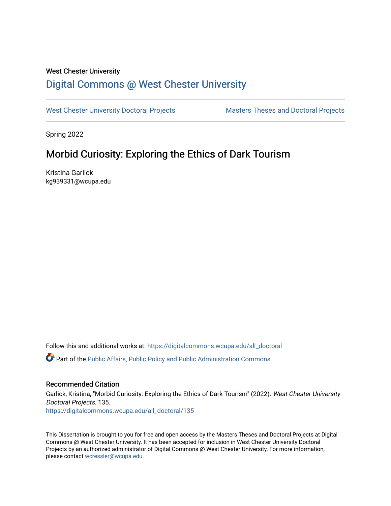## West Chester University

# [Digital Commons @ West Chester University](https://digitalcommons.wcupa.edu/)

[West Chester University Doctoral Projects](https://digitalcommons.wcupa.edu/all_doctoral) Masters Theses and Doctoral Projects

Spring 2022

# Morbid Curiosity: Exploring the Ethics of Dark Tourism

Kristina Garlick kg939331@wcupa.edu

Follow this and additional works at: [https://digitalcommons.wcupa.edu/all\\_doctoral](https://digitalcommons.wcupa.edu/all_doctoral?utm_source=digitalcommons.wcupa.edu%2Fall_doctoral%2F135&utm_medium=PDF&utm_campaign=PDFCoverPages) 

Part of the [Public Affairs, Public Policy and Public Administration Commons](http://network.bepress.com/hgg/discipline/393?utm_source=digitalcommons.wcupa.edu%2Fall_doctoral%2F135&utm_medium=PDF&utm_campaign=PDFCoverPages) 

## Recommended Citation

Garlick, Kristina, "Morbid Curiosity: Exploring the Ethics of Dark Tourism" (2022). West Chester University Doctoral Projects. 135. [https://digitalcommons.wcupa.edu/all\\_doctoral/135](https://digitalcommons.wcupa.edu/all_doctoral/135?utm_source=digitalcommons.wcupa.edu%2Fall_doctoral%2F135&utm_medium=PDF&utm_campaign=PDFCoverPages) 

This Dissertation is brought to you for free and open access by the Masters Theses and Doctoral Projects at Digital Commons @ West Chester University. It has been accepted for inclusion in West Chester University Doctoral Projects by an authorized administrator of Digital Commons @ West Chester University. For more information, please contact [wcressler@wcupa.edu](mailto:wcressler@wcupa.edu).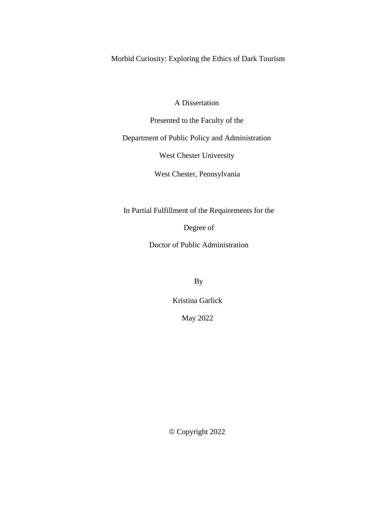Morbid Curiosity: Exploring the Ethics of Dark Tourism

A Dissertation

Presented to the Faculty of the

Department of Public Policy and Administration

West Chester University

West Chester, Pennsylvania

In Partial Fulfillment of the Requirements for the

Degree of

Doctor of Public Administration

By

Kristina Garlick

May 2022

© Copyright 2022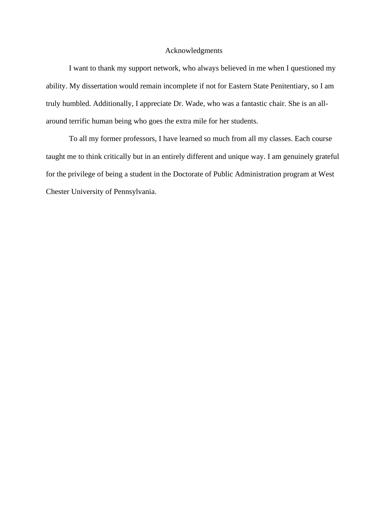## Acknowledgments

I want to thank my support network, who always believed in me when I questioned my ability. My dissertation would remain incomplete if not for Eastern State Penitentiary, so I am truly humbled. Additionally, I appreciate Dr. Wade, who was a fantastic chair. She is an allaround terrific human being who goes the extra mile for her students.

To all my former professors, I have learned so much from all my classes. Each course taught me to think critically but in an entirely different and unique way. I am genuinely grateful for the privilege of being a student in the Doctorate of Public Administration program at West Chester University of Pennsylvania.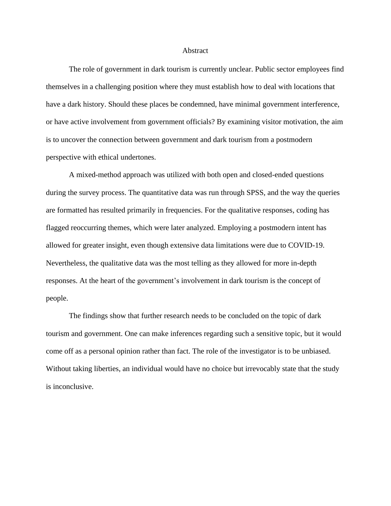#### Abstract

The role of government in dark tourism is currently unclear. Public sector employees find themselves in a challenging position where they must establish how to deal with locations that have a dark history. Should these places be condemned, have minimal government interference, or have active involvement from government officials? By examining visitor motivation, the aim is to uncover the connection between government and dark tourism from a postmodern perspective with ethical undertones.

A mixed-method approach was utilized with both open and closed-ended questions during the survey process. The quantitative data was run through SPSS, and the way the queries are formatted has resulted primarily in frequencies. For the qualitative responses, coding has flagged reoccurring themes, which were later analyzed. Employing a postmodern intent has allowed for greater insight, even though extensive data limitations were due to COVID-19. Nevertheless, the qualitative data was the most telling as they allowed for more in-depth responses. At the heart of the government's involvement in dark tourism is the concept of people.

The findings show that further research needs to be concluded on the topic of dark tourism and government. One can make inferences regarding such a sensitive topic, but it would come off as a personal opinion rather than fact. The role of the investigator is to be unbiased. Without taking liberties, an individual would have no choice but irrevocably state that the study is inconclusive.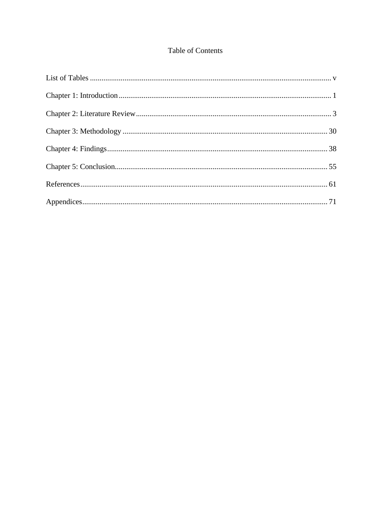## Table of Contents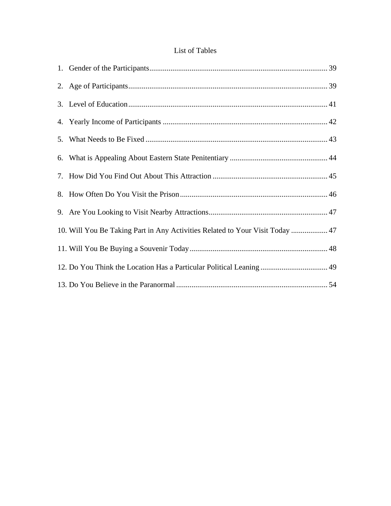## List of Tables

| 10. Will You Be Taking Part in Any Activities Related to Your Visit Today  47 |  |
|-------------------------------------------------------------------------------|--|
|                                                                               |  |
| 12. Do You Think the Location Has a Particular Political Leaning  49          |  |
|                                                                               |  |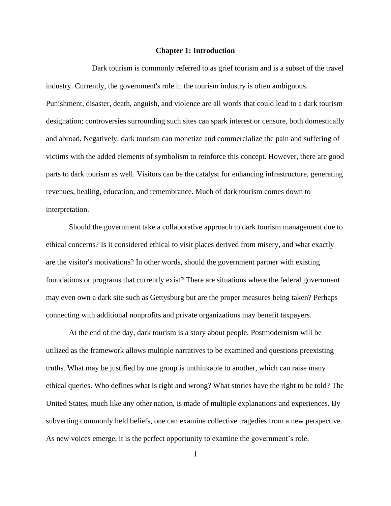#### **Chapter 1: Introduction**

Dark tourism is commonly referred to as grief tourism and is a subset of the travel industry. Currently, the government's role in the tourism industry is often ambiguous. Punishment, disaster, death, anguish, and violence are all words that could lead to a dark tourism designation; controversies surrounding such sites can spark interest or censure, both domestically and abroad. Negatively, dark tourism can monetize and commercialize the pain and suffering of victims with the added elements of symbolism to reinforce this concept. However, there are good parts to dark tourism as well. Visitors can be the catalyst for enhancing infrastructure, generating revenues, healing, education, and remembrance. Much of dark tourism comes down to interpretation.

Should the government take a collaborative approach to dark tourism management due to ethical concerns? Is it considered ethical to visit places derived from misery, and what exactly are the visitor's motivations? In other words, should the government partner with existing foundations or programs that currently exist? There are situations where the federal government may even own a dark site such as Gettysburg but are the proper measures being taken? Perhaps connecting with additional nonprofits and private organizations may benefit taxpayers.

At the end of the day, dark tourism is a story about people. Postmodernism will be utilized as the framework allows multiple narratives to be examined and questions preexisting truths. What may be justified by one group is unthinkable to another, which can raise many ethical queries. Who defines what is right and wrong? What stories have the right to be told? The United States, much like any other nation, is made of multiple explanations and experiences. By subverting commonly held beliefs, one can examine collective tragedies from a new perspective. As new voices emerge, it is the perfect opportunity to examine the government's role.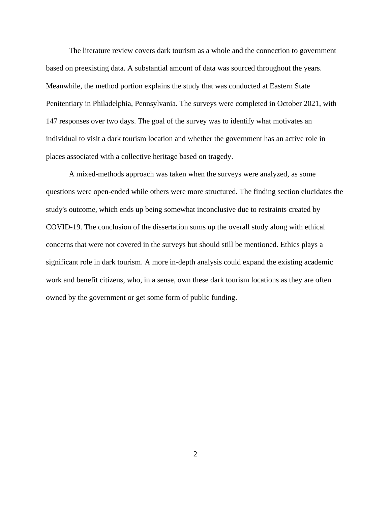The literature review covers dark tourism as a whole and the connection to government based on preexisting data. A substantial amount of data was sourced throughout the years. Meanwhile, the method portion explains the study that was conducted at Eastern State Penitentiary in Philadelphia, Pennsylvania. The surveys were completed in October 2021, with 147 responses over two days. The goal of the survey was to identify what motivates an individual to visit a dark tourism location and whether the government has an active role in places associated with a collective heritage based on tragedy.

A mixed-methods approach was taken when the surveys were analyzed, as some questions were open-ended while others were more structured. The finding section elucidates the study's outcome, which ends up being somewhat inconclusive due to restraints created by COVID-19. The conclusion of the dissertation sums up the overall study along with ethical concerns that were not covered in the surveys but should still be mentioned. Ethics plays a significant role in dark tourism. A more in-depth analysis could expand the existing academic work and benefit citizens, who, in a sense, own these dark tourism locations as they are often owned by the government or get some form of public funding.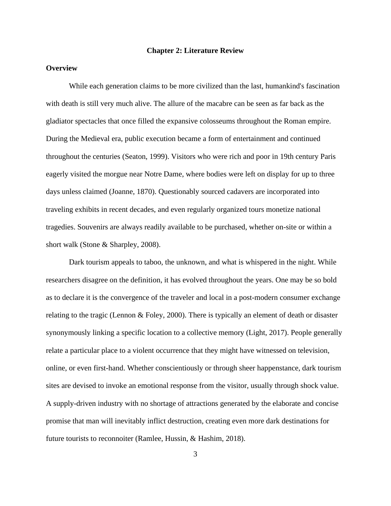#### **Chapter 2: Literature Review**

## **Overview**

While each generation claims to be more civilized than the last, humankind's fascination with death is still very much alive. The allure of the macabre can be seen as far back as the gladiator spectacles that once filled the expansive colosseums throughout the Roman empire. During the Medieval era, public execution became a form of entertainment and continued throughout the centuries (Seaton, 1999). Visitors who were rich and poor in 19th century Paris eagerly visited the morgue near Notre Dame, where bodies were left on display for up to three days unless claimed (Joanne, 1870). Questionably sourced cadavers are incorporated into traveling exhibits in recent decades, and even regularly organized tours monetize national tragedies. Souvenirs are always readily available to be purchased, whether on-site or within a short walk (Stone & Sharpley, 2008).

Dark tourism appeals to taboo, the unknown, and what is whispered in the night. While researchers disagree on the definition, it has evolved throughout the years. One may be so bold as to declare it is the convergence of the traveler and local in a post-modern consumer exchange relating to the tragic (Lennon & Foley, 2000). There is typically an element of death or disaster synonymously linking a specific location to a collective memory (Light, 2017). People generally relate a particular place to a violent occurrence that they might have witnessed on television, online, or even first-hand. Whether conscientiously or through sheer happenstance, dark tourism sites are devised to invoke an emotional response from the visitor, usually through shock value. A supply-driven industry with no shortage of attractions generated by the elaborate and concise promise that man will inevitably inflict destruction, creating even more dark destinations for future tourists to reconnoiter (Ramlee, Hussin, & Hashim, 2018).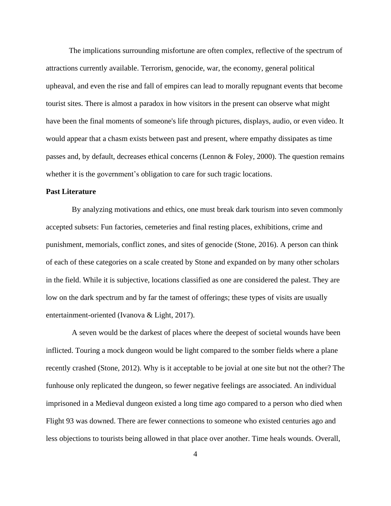The implications surrounding misfortune are often complex, reflective of the spectrum of attractions currently available. Terrorism, genocide, war, the economy, general political upheaval, and even the rise and fall of empires can lead to morally repugnant events that become tourist sites. There is almost a paradox in how visitors in the present can observe what might have been the final moments of someone's life through pictures, displays, audio, or even video. It would appear that a chasm exists between past and present, where empathy dissipates as time passes and, by default, decreases ethical concerns (Lennon  $\&$  Foley, 2000). The question remains whether it is the government's obligation to care for such tragic locations.

## **Past Literature**

By analyzing motivations and ethics, one must break dark tourism into seven commonly accepted subsets: Fun factories, cemeteries and final resting places, exhibitions, crime and punishment, memorials, conflict zones, and sites of genocide (Stone, 2016). A person can think of each of these categories on a scale created by Stone and expanded on by many other scholars in the field. While it is subjective, locations classified as one are considered the palest. They are low on the dark spectrum and by far the tamest of offerings; these types of visits are usually entertainment-oriented (Ivanova & Light, 2017).

A seven would be the darkest of places where the deepest of societal wounds have been inflicted. Touring a mock dungeon would be light compared to the somber fields where a plane recently crashed (Stone, 2012). Why is it acceptable to be jovial at one site but not the other? The funhouse only replicated the dungeon, so fewer negative feelings are associated. An individual imprisoned in a Medieval dungeon existed a long time ago compared to a person who died when Flight 93 was downed. There are fewer connections to someone who existed centuries ago and less objections to tourists being allowed in that place over another. Time heals wounds. Overall,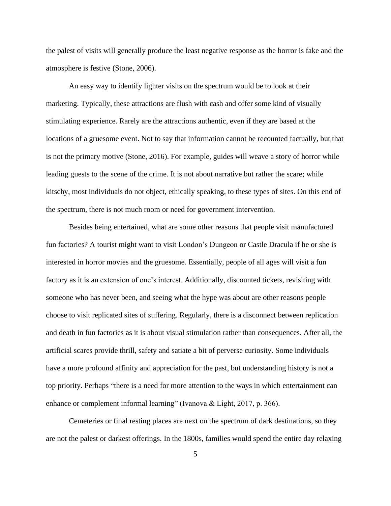the palest of visits will generally produce the least negative response as the horror is fake and the atmosphere is festive (Stone, 2006).

An easy way to identify lighter visits on the spectrum would be to look at their marketing. Typically, these attractions are flush with cash and offer some kind of visually stimulating experience. Rarely are the attractions authentic, even if they are based at the locations of a gruesome event. Not to say that information cannot be recounted factually, but that is not the primary motive (Stone, 2016). For example, guides will weave a story of horror while leading guests to the scene of the crime. It is not about narrative but rather the scare; while kitschy, most individuals do not object, ethically speaking, to these types of sites. On this end of the spectrum, there is not much room or need for government intervention.

Besides being entertained, what are some other reasons that people visit manufactured fun factories? A tourist might want to visit London's Dungeon or Castle Dracula if he or she is interested in horror movies and the gruesome. Essentially, people of all ages will visit a fun factory as it is an extension of one's interest. Additionally, discounted tickets, revisiting with someone who has never been, and seeing what the hype was about are other reasons people choose to visit replicated sites of suffering. Regularly, there is a disconnect between replication and death in fun factories as it is about visual stimulation rather than consequences. After all, the artificial scares provide thrill, safety and satiate a bit of perverse curiosity. Some individuals have a more profound affinity and appreciation for the past, but understanding history is not a top priority. Perhaps "there is a need for more attention to the ways in which entertainment can enhance or complement informal learning" (Ivanova & Light, 2017, p. 366).

Cemeteries or final resting places are next on the spectrum of dark destinations, so they are not the palest or darkest offerings. In the 1800s, families would spend the entire day relaxing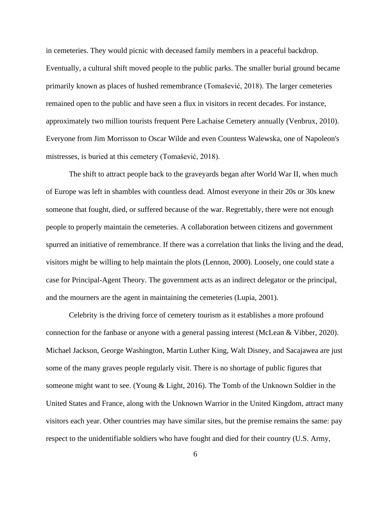in cemeteries. They would picnic with deceased family members in a peaceful backdrop. Eventually, a cultural shift moved people to the public parks. The smaller burial ground became primarily known as places of hushed remembrance (Tomašević, 2018). The larger cemeteries remained open to the public and have seen a flux in visitors in recent decades. For instance, approximately two million tourists frequent Pere Lachaise Cemetery annually (Venbrux, 2010). Everyone from Jim Morrisson to Oscar Wilde and even Countess Walewska, one of Napoleon's mistresses, is buried at this cemetery (Tomašević, 2018).

The shift to attract people back to the graveyards began after World War II, when much of Europe was left in shambles with countless dead. Almost everyone in their 20s or 30s knew someone that fought, died, or suffered because of the war. Regrettably, there were not enough people to properly maintain the cemeteries. A collaboration between citizens and government spurred an initiative of remembrance. If there was a correlation that links the living and the dead, visitors might be willing to help maintain the plots (Lennon, 2000). Loosely, one could state a case for Principal-Agent Theory. The government acts as an indirect delegator or the principal, and the mourners are the agent in maintaining the cemeteries (Lupia, 2001).

Celebrity is the driving force of cemetery tourism as it establishes a more profound connection for the fanbase or anyone with a general passing interest (McLean & Vibber, 2020). Michael Jackson, George Washington, Martin Luther King, Walt Disney, and Sacajawea are just some of the many graves people regularly visit. There is no shortage of public figures that someone might want to see. (Young & Light, 2016). The Tomb of the Unknown Soldier in the United States and France, along with the Unknown Warrior in the United Kingdom, attract many visitors each year. Other countries may have similar sites, but the premise remains the same: pay respect to the unidentifiable soldiers who have fought and died for their country (U.S. Army,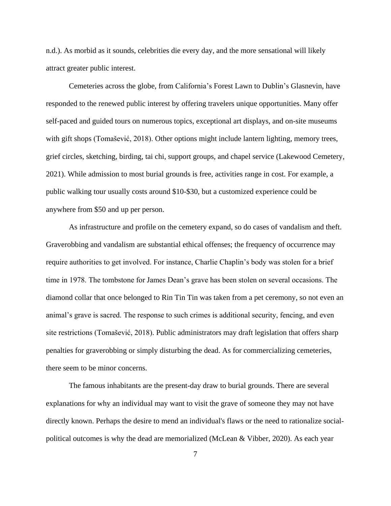n.d.). As morbid as it sounds, celebrities die every day, and the more sensational will likely attract greater public interest.

Cemeteries across the globe, from California's Forest Lawn to Dublin's Glasnevin, have responded to the renewed public interest by offering travelers unique opportunities. Many offer self-paced and guided tours on numerous topics, exceptional art displays, and on-site museums with gift shops (Tomašević, 2018). Other options might include lantern lighting, memory trees, grief circles, sketching, birding, tai chi, support groups, and chapel service (Lakewood Cemetery, 2021). While admission to most burial grounds is free, activities range in cost. For example, a public walking tour usually costs around \$10-\$30, but a customized experience could be anywhere from \$50 and up per person.

As infrastructure and profile on the cemetery expand, so do cases of vandalism and theft. Graverobbing and vandalism are substantial ethical offenses; the frequency of occurrence may require authorities to get involved. For instance, Charlie Chaplin's body was stolen for a brief time in 1978. The tombstone for James Dean's grave has been stolen on several occasions. The diamond collar that once belonged to Rin Tin Tin was taken from a pet ceremony, so not even an animal's grave is sacred. The response to such crimes is additional security, fencing, and even site restrictions (Tomašević, 2018). Public administrators may draft legislation that offers sharp penalties for graverobbing or simply disturbing the dead. As for commercializing cemeteries, there seem to be minor concerns.

The famous inhabitants are the present-day draw to burial grounds. There are several explanations for why an individual may want to visit the grave of someone they may not have directly known. Perhaps the desire to mend an individual's flaws or the need to rationalize socialpolitical outcomes is why the dead are memorialized (McLean & Vibber, 2020). As each year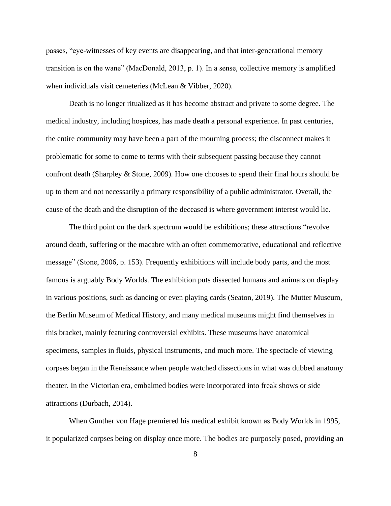passes, "eye-witnesses of key events are disappearing, and that inter-generational memory transition is on the wane" (MacDonald, 2013, p. 1). In a sense, collective memory is amplified when individuals visit cemeteries (McLean & Vibber, 2020).

Death is no longer ritualized as it has become abstract and private to some degree. The medical industry, including hospices, has made death a personal experience. In past centuries, the entire community may have been a part of the mourning process; the disconnect makes it problematic for some to come to terms with their subsequent passing because they cannot confront death (Sharpley & Stone, 2009). How one chooses to spend their final hours should be up to them and not necessarily a primary responsibility of a public administrator. Overall, the cause of the death and the disruption of the deceased is where government interest would lie.

The third point on the dark spectrum would be exhibitions; these attractions "revolve around death, suffering or the macabre with an often commemorative, educational and reflective message" (Stone, 2006, p. 153). Frequently exhibitions will include body parts, and the most famous is arguably Body Worlds. The exhibition puts dissected humans and animals on display in various positions, such as dancing or even playing cards (Seaton, 2019). The Mutter Museum, the Berlin Museum of Medical History, and many medical museums might find themselves in this bracket, mainly featuring controversial exhibits. These museums have anatomical specimens, samples in fluids, physical instruments, and much more. The spectacle of viewing corpses began in the Renaissance when people watched dissections in what was dubbed anatomy theater. In the Victorian era, embalmed bodies were incorporated into freak shows or side attractions (Durbach, 2014).

When Gunther von Hage premiered his medical exhibit known as Body Worlds in 1995, it popularized corpses being on display once more. The bodies are purposely posed, providing an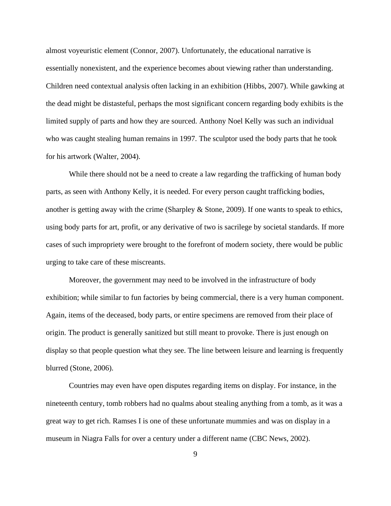almost voyeuristic element (Connor, 2007). Unfortunately, the educational narrative is essentially nonexistent, and the experience becomes about viewing rather than understanding. Children need contextual analysis often lacking in an exhibition (Hibbs, 2007). While gawking at the dead might be distasteful, perhaps the most significant concern regarding body exhibits is the limited supply of parts and how they are sourced. Anthony Noel Kelly was such an individual who was caught stealing human remains in 1997. The sculptor used the body parts that he took for his artwork (Walter, 2004).

While there should not be a need to create a law regarding the trafficking of human body parts, as seen with Anthony Kelly, it is needed. For every person caught trafficking bodies, another is getting away with the crime (Sharpley & Stone, 2009). If one wants to speak to ethics, using body parts for art, profit, or any derivative of two is sacrilege by societal standards. If more cases of such impropriety were brought to the forefront of modern society, there would be public urging to take care of these miscreants.

Moreover, the government may need to be involved in the infrastructure of body exhibition; while similar to fun factories by being commercial, there is a very human component. Again, items of the deceased, body parts, or entire specimens are removed from their place of origin. The product is generally sanitized but still meant to provoke. There is just enough on display so that people question what they see. The line between leisure and learning is frequently blurred (Stone, 2006).

Countries may even have open disputes regarding items on display. For instance, in the nineteenth century, tomb robbers had no qualms about stealing anything from a tomb, as it was a great way to get rich. Ramses I is one of these unfortunate mummies and was on display in a museum in Niagra Falls for over a century under a different name (CBC News, 2002).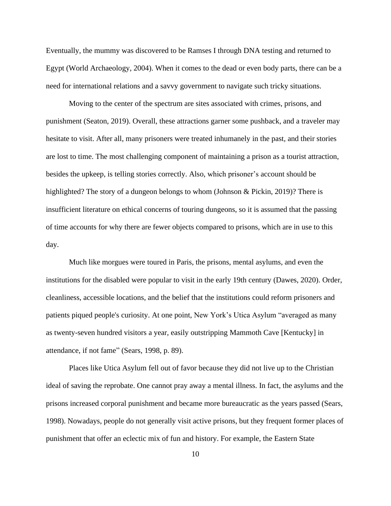Eventually, the mummy was discovered to be Ramses I through DNA testing and returned to Egypt (World Archaeology, 2004). When it comes to the dead or even body parts, there can be a need for international relations and a savvy government to navigate such tricky situations.

Moving to the center of the spectrum are sites associated with crimes, prisons, and punishment (Seaton, 2019). Overall, these attractions garner some pushback, and a traveler may hesitate to visit. After all, many prisoners were treated inhumanely in the past, and their stories are lost to time. The most challenging component of maintaining a prison as a tourist attraction, besides the upkeep, is telling stories correctly. Also, which prisoner's account should be highlighted? The story of a dungeon belongs to whom (Johnson & Pickin, 2019)? There is insufficient literature on ethical concerns of touring dungeons, so it is assumed that the passing of time accounts for why there are fewer objects compared to prisons, which are in use to this day.

Much like morgues were toured in Paris, the prisons, mental asylums, and even the institutions for the disabled were popular to visit in the early 19th century (Dawes, 2020). Order, cleanliness, accessible locations, and the belief that the institutions could reform prisoners and patients piqued people's curiosity. At one point, New York's Utica Asylum "averaged as many as twenty-seven hundred visitors a year, easily outstripping Mammoth Cave [Kentucky] in attendance, if not fame" (Sears, 1998, p. 89).

Places like Utica Asylum fell out of favor because they did not live up to the Christian ideal of saving the reprobate. One cannot pray away a mental illness. In fact, the asylums and the prisons increased corporal punishment and became more bureaucratic as the years passed (Sears, 1998). Nowadays, people do not generally visit active prisons, but they frequent former places of punishment that offer an eclectic mix of fun and history. For example, the Eastern State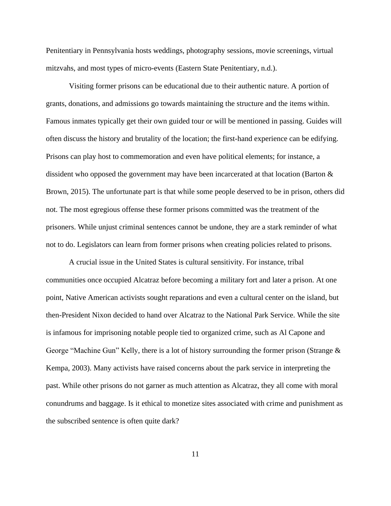Penitentiary in Pennsylvania hosts weddings, photography sessions, movie screenings, virtual mitzvahs, and most types of micro-events (Eastern State Penitentiary, n.d.).

Visiting former prisons can be educational due to their authentic nature. A portion of grants, donations, and admissions go towards maintaining the structure and the items within. Famous inmates typically get their own guided tour or will be mentioned in passing. Guides will often discuss the history and brutality of the location; the first-hand experience can be edifying. Prisons can play host to commemoration and even have political elements; for instance, a dissident who opposed the government may have been incarcerated at that location (Barton & Brown, 2015). The unfortunate part is that while some people deserved to be in prison, others did not. The most egregious offense these former prisons committed was the treatment of the prisoners. While unjust criminal sentences cannot be undone, they are a stark reminder of what not to do. Legislators can learn from former prisons when creating policies related to prisons.

A crucial issue in the United States is cultural sensitivity. For instance, tribal communities once occupied Alcatraz before becoming a military fort and later a prison. At one point, Native American activists sought reparations and even a cultural center on the island, but then-President Nixon decided to hand over Alcatraz to the National Park Service. While the site is infamous for imprisoning notable people tied to organized crime, such as Al Capone and George "Machine Gun" Kelly, there is a lot of history surrounding the former prison (Strange & Kempa, 2003). Many activists have raised concerns about the park service in interpreting the past. While other prisons do not garner as much attention as Alcatraz, they all come with moral conundrums and baggage. Is it ethical to monetize sites associated with crime and punishment as the subscribed sentence is often quite dark?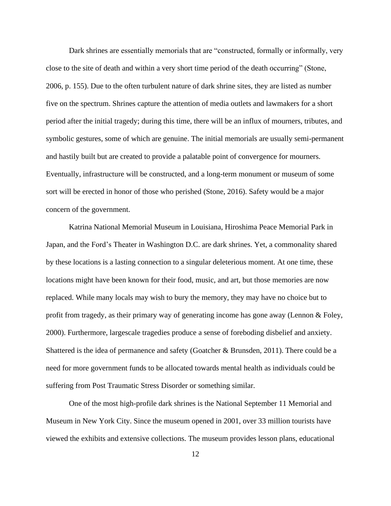Dark shrines are essentially memorials that are "constructed, formally or informally, very close to the site of death and within a very short time period of the death occurring" (Stone, 2006, p. 155). Due to the often turbulent nature of dark shrine sites, they are listed as number five on the spectrum. Shrines capture the attention of media outlets and lawmakers for a short period after the initial tragedy; during this time, there will be an influx of mourners, tributes, and symbolic gestures, some of which are genuine. The initial memorials are usually semi-permanent and hastily built but are created to provide a palatable point of convergence for mourners. Eventually, infrastructure will be constructed, and a long-term monument or museum of some sort will be erected in honor of those who perished (Stone, 2016). Safety would be a major concern of the government.

Katrina National Memorial Museum in Louisiana, Hiroshima Peace Memorial Park in Japan, and the Ford's Theater in Washington D.C. are dark shrines. Yet, a commonality shared by these locations is a lasting connection to a singular deleterious moment. At one time, these locations might have been known for their food, music, and art, but those memories are now replaced. While many locals may wish to bury the memory, they may have no choice but to profit from tragedy, as their primary way of generating income has gone away (Lennon & Foley, 2000). Furthermore, largescale tragedies produce a sense of foreboding disbelief and anxiety. Shattered is the idea of permanence and safety (Goatcher & Brunsden, 2011). There could be a need for more government funds to be allocated towards mental health as individuals could be suffering from Post Traumatic Stress Disorder or something similar.

One of the most high-profile dark shrines is the National September 11 Memorial and Museum in New York City. Since the museum opened in 2001, over 33 million tourists have viewed the exhibits and extensive collections. The museum provides lesson plans, educational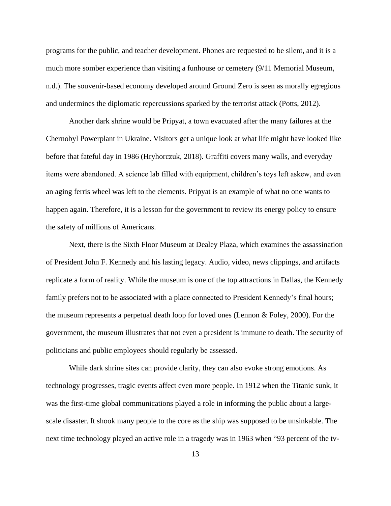programs for the public, and teacher development. Phones are requested to be silent, and it is a much more somber experience than visiting a funhouse or cemetery (9/11 Memorial Museum, n.d.). The souvenir-based economy developed around Ground Zero is seen as morally egregious and undermines the diplomatic repercussions sparked by the terrorist attack (Potts, 2012).

Another dark shrine would be Pripyat, a town evacuated after the many failures at the Chernobyl Powerplant in Ukraine. Visitors get a unique look at what life might have looked like before that fateful day in 1986 (Hryhorczuk, 2018). Graffiti covers many walls, and everyday items were abandoned. A science lab filled with equipment, children's toys left askew, and even an aging ferris wheel was left to the elements. Pripyat is an example of what no one wants to happen again. Therefore, it is a lesson for the government to review its energy policy to ensure the safety of millions of Americans.

Next, there is the Sixth Floor Museum at Dealey Plaza, which examines the assassination of President John F. Kennedy and his lasting legacy. Audio, video, news clippings, and artifacts replicate a form of reality. While the museum is one of the top attractions in Dallas, the Kennedy family prefers not to be associated with a place connected to President Kennedy's final hours; the museum represents a perpetual death loop for loved ones (Lennon & Foley, 2000). For the government, the museum illustrates that not even a president is immune to death. The security of politicians and public employees should regularly be assessed.

While dark shrine sites can provide clarity, they can also evoke strong emotions. As technology progresses, tragic events affect even more people. In 1912 when the Titanic sunk, it was the first-time global communications played a role in informing the public about a largescale disaster. It shook many people to the core as the ship was supposed to be unsinkable. The next time technology played an active role in a tragedy was in 1963 when "93 percent of the tv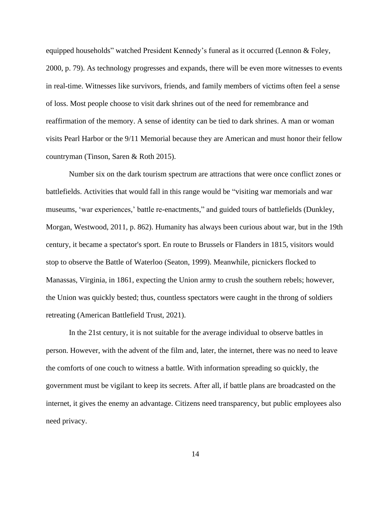equipped households" watched President Kennedy's funeral as it occurred (Lennon & Foley, 2000, p. 79). As technology progresses and expands, there will be even more witnesses to events in real-time. Witnesses like survivors, friends, and family members of victims often feel a sense of loss. Most people choose to visit dark shrines out of the need for remembrance and reaffirmation of the memory. A sense of identity can be tied to dark shrines. A man or woman visits Pearl Harbor or the 9/11 Memorial because they are American and must honor their fellow countryman (Tinson, Saren & Roth 2015).

Number six on the dark tourism spectrum are attractions that were once conflict zones or battlefields. Activities that would fall in this range would be "visiting war memorials and war museums, 'war experiences,' battle re-enactments," and guided tours of battlefields (Dunkley, Morgan, Westwood, 2011, p. 862). Humanity has always been curious about war, but in the 19th century, it became a spectator's sport. En route to Brussels or Flanders in 1815, visitors would stop to observe the Battle of Waterloo (Seaton, 1999). Meanwhile, picnickers flocked to Manassas, Virginia, in 1861, expecting the Union army to crush the southern rebels; however, the Union was quickly bested; thus, countless spectators were caught in the throng of soldiers retreating (American Battlefield Trust, 2021).

In the 21st century, it is not suitable for the average individual to observe battles in person. However, with the advent of the film and, later, the internet, there was no need to leave the comforts of one couch to witness a battle. With information spreading so quickly, the government must be vigilant to keep its secrets. After all, if battle plans are broadcasted on the internet, it gives the enemy an advantage. Citizens need transparency, but public employees also need privacy.

14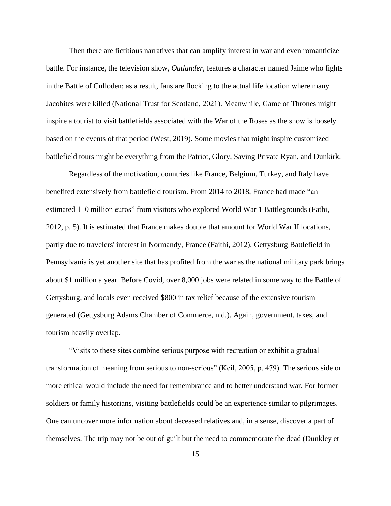Then there are fictitious narratives that can amplify interest in war and even romanticize battle. For instance, the television show, *Outlander,* features a character named Jaime who fights in the Battle of Culloden; as a result, fans are flocking to the actual life location where many Jacobites were killed (National Trust for Scotland, 2021). Meanwhile, Game of Thrones might inspire a tourist to visit battlefields associated with the War of the Roses as the show is loosely based on the events of that period (West, 2019). Some movies that might inspire customized battlefield tours might be everything from the Patriot, Glory, Saving Private Ryan, and Dunkirk.

Regardless of the motivation, countries like France, Belgium, Turkey, and Italy have benefited extensively from battlefield tourism. From 2014 to 2018, France had made "an estimated 110 million euros" from visitors who explored World War 1 Battlegrounds (Fathi, 2012, p. 5). It is estimated that France makes double that amount for World War II locations, partly due to travelers' interest in Normandy, France (Faithi, 2012). Gettysburg Battlefield in Pennsylvania is yet another site that has profited from the war as the national military park brings about \$1 million a year. Before Covid, over 8,000 jobs were related in some way to the Battle of Gettysburg, and locals even received \$800 in tax relief because of the extensive tourism generated (Gettysburg Adams Chamber of Commerce, n.d.). Again, government, taxes, and tourism heavily overlap.

"Visits to these sites combine serious purpose with recreation or exhibit a gradual transformation of meaning from serious to non-serious" (Keil, 2005, p. 479). The serious side or more ethical would include the need for remembrance and to better understand war. For former soldiers or family historians, visiting battlefields could be an experience similar to pilgrimages. One can uncover more information about deceased relatives and, in a sense, discover a part of themselves. The trip may not be out of guilt but the need to commemorate the dead (Dunkley et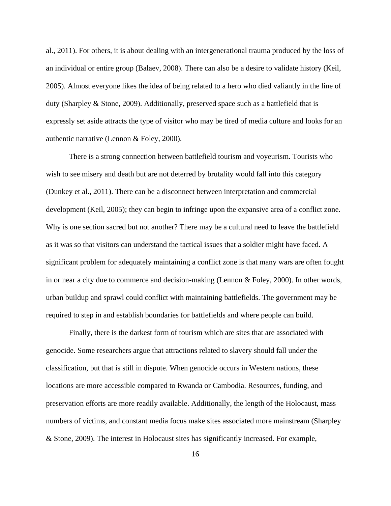al., 2011). For others, it is about dealing with an intergenerational trauma produced by the loss of an individual or entire group (Balaev, 2008). There can also be a desire to validate history (Keil, 2005). Almost everyone likes the idea of being related to a hero who died valiantly in the line of duty (Sharpley & Stone, 2009). Additionally, preserved space such as a battlefield that is expressly set aside attracts the type of visitor who may be tired of media culture and looks for an authentic narrative (Lennon & Foley, 2000).

There is a strong connection between battlefield tourism and voyeurism. Tourists who wish to see misery and death but are not deterred by brutality would fall into this category (Dunkey et al., 2011). There can be a disconnect between interpretation and commercial development (Keil, 2005); they can begin to infringe upon the expansive area of a conflict zone. Why is one section sacred but not another? There may be a cultural need to leave the battlefield as it was so that visitors can understand the tactical issues that a soldier might have faced. A significant problem for adequately maintaining a conflict zone is that many wars are often fought in or near a city due to commerce and decision-making (Lennon & Foley, 2000). In other words, urban buildup and sprawl could conflict with maintaining battlefields. The government may be required to step in and establish boundaries for battlefields and where people can build.

Finally, there is the darkest form of tourism which are sites that are associated with genocide. Some researchers argue that attractions related to slavery should fall under the classification, but that is still in dispute. When genocide occurs in Western nations, these locations are more accessible compared to Rwanda or Cambodia. Resources, funding, and preservation efforts are more readily available. Additionally, the length of the Holocaust, mass numbers of victims, and constant media focus make sites associated more mainstream (Sharpley & Stone, 2009). The interest in Holocaust sites has significantly increased. For example,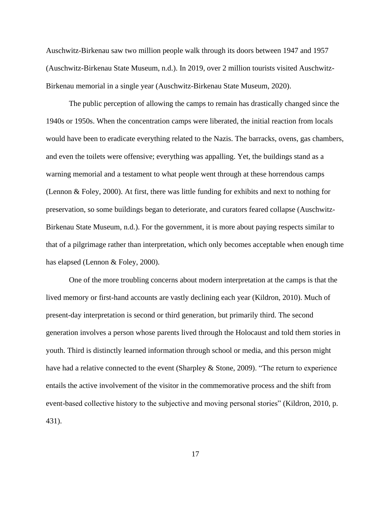Auschwitz-Birkenau saw two million people walk through its doors between 1947 and 1957 (Auschwitz-Birkenau State Museum, n.d.). In 2019, over 2 million tourists visited Auschwitz-Birkenau memorial in a single year (Auschwitz-Birkenau State Museum, 2020).

The public perception of allowing the camps to remain has drastically changed since the 1940s or 1950s. When the concentration camps were liberated, the initial reaction from locals would have been to eradicate everything related to the Nazis. The barracks, ovens, gas chambers, and even the toilets were offensive; everything was appalling. Yet, the buildings stand as a warning memorial and a testament to what people went through at these horrendous camps (Lennon & Foley, 2000). At first, there was little funding for exhibits and next to nothing for preservation, so some buildings began to deteriorate, and curators feared collapse (Auschwitz-Birkenau State Museum, n.d.). For the government, it is more about paying respects similar to that of a pilgrimage rather than interpretation, which only becomes acceptable when enough time has elapsed (Lennon & Foley, 2000).

One of the more troubling concerns about modern interpretation at the camps is that the lived memory or first-hand accounts are vastly declining each year (Kildron, 2010). Much of present-day interpretation is second or third generation, but primarily third. The second generation involves a person whose parents lived through the Holocaust and told them stories in youth. Third is distinctly learned information through school or media, and this person might have had a relative connected to the event (Sharpley & Stone, 2009). "The return to experience entails the active involvement of the visitor in the commemorative process and the shift from event-based collective history to the subjective and moving personal stories" (Kildron, 2010, p. 431).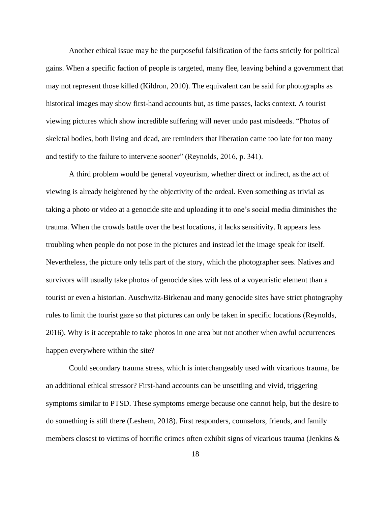Another ethical issue may be the purposeful falsification of the facts strictly for political gains. When a specific faction of people is targeted, many flee, leaving behind a government that may not represent those killed (Kildron, 2010). The equivalent can be said for photographs as historical images may show first-hand accounts but, as time passes, lacks context. A tourist viewing pictures which show incredible suffering will never undo past misdeeds. "Photos of skeletal bodies, both living and dead, are reminders that liberation came too late for too many and testify to the failure to intervene sooner" (Reynolds, 2016, p. 341).

A third problem would be general voyeurism, whether direct or indirect, as the act of viewing is already heightened by the objectivity of the ordeal. Even something as trivial as taking a photo or video at a genocide site and uploading it to one's social media diminishes the trauma. When the crowds battle over the best locations, it lacks sensitivity. It appears less troubling when people do not pose in the pictures and instead let the image speak for itself. Nevertheless, the picture only tells part of the story, which the photographer sees. Natives and survivors will usually take photos of genocide sites with less of a voyeuristic element than a tourist or even a historian. Auschwitz-Birkenau and many genocide sites have strict photography rules to limit the tourist gaze so that pictures can only be taken in specific locations (Reynolds, 2016). Why is it acceptable to take photos in one area but not another when awful occurrences happen everywhere within the site?

Could secondary trauma stress, which is interchangeably used with vicarious trauma, be an additional ethical stressor? First-hand accounts can be unsettling and vivid, triggering symptoms similar to PTSD. These symptoms emerge because one cannot help, but the desire to do something is still there (Leshem, 2018). First responders, counselors, friends, and family members closest to victims of horrific crimes often exhibit signs of vicarious trauma (Jenkins &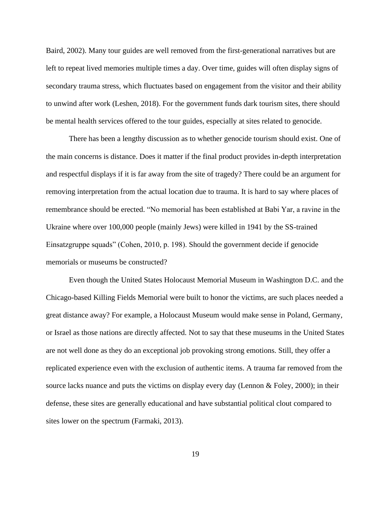Baird, 2002). Many tour guides are well removed from the first-generational narratives but are left to repeat lived memories multiple times a day. Over time, guides will often display signs of secondary trauma stress, which fluctuates based on engagement from the visitor and their ability to unwind after work (Leshen, 2018). For the government funds dark tourism sites, there should be mental health services offered to the tour guides, especially at sites related to genocide.

There has been a lengthy discussion as to whether genocide tourism should exist. One of the main concerns is distance. Does it matter if the final product provides in-depth interpretation and respectful displays if it is far away from the site of tragedy? There could be an argument for removing interpretation from the actual location due to trauma. It is hard to say where places of remembrance should be erected. "No memorial has been established at Babi Yar, a ravine in the Ukraine where over 100,000 people (mainly Jews) were killed in 1941 by the SS-trained Einsatzgruppe squads" (Cohen, 2010, p. 198). Should the government decide if genocide memorials or museums be constructed?

Even though the United States Holocaust Memorial Museum in Washington D.C. and the Chicago-based Killing Fields Memorial were built to honor the victims, are such places needed a great distance away? For example, a Holocaust Museum would make sense in Poland, Germany, or Israel as those nations are directly affected. Not to say that these museums in the United States are not well done as they do an exceptional job provoking strong emotions. Still, they offer a replicated experience even with the exclusion of authentic items. A trauma far removed from the source lacks nuance and puts the victims on display every day (Lennon & Foley, 2000); in their defense, these sites are generally educational and have substantial political clout compared to sites lower on the spectrum (Farmaki, 2013).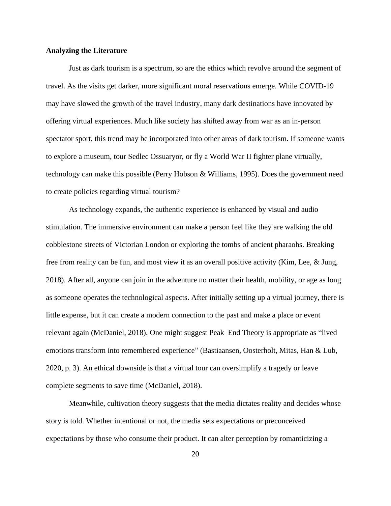#### **Analyzing the Literature**

Just as dark tourism is a spectrum, so are the ethics which revolve around the segment of travel. As the visits get darker, more significant moral reservations emerge. While COVID-19 may have slowed the growth of the travel industry, many dark destinations have innovated by offering virtual experiences. Much like society has shifted away from war as an in-person spectator sport, this trend may be incorporated into other areas of dark tourism. If someone wants to explore a museum, tour Sedlec Ossuaryor, or fly a World War II fighter plane virtually, technology can make this possible (Perry Hobson & Williams, 1995). Does the government need to create policies regarding virtual tourism?

As technology expands, the authentic experience is enhanced by visual and audio stimulation. The immersive environment can make a person feel like they are walking the old cobblestone streets of Victorian London or exploring the tombs of ancient pharaohs. Breaking free from reality can be fun, and most view it as an overall positive activity (Kim, Lee, & Jung, 2018). After all, anyone can join in the adventure no matter their health, mobility, or age as long as someone operates the technological aspects. After initially setting up a virtual journey, there is little expense, but it can create a modern connection to the past and make a place or event relevant again (McDaniel, 2018). One might suggest Peak–End Theory is appropriate as "lived emotions transform into remembered experience" (Bastiaansen, Oosterholt, Mitas, Han & Lub, 2020, p. 3). An ethical downside is that a virtual tour can oversimplify a tragedy or leave complete segments to save time (McDaniel, 2018).

Meanwhile, cultivation theory suggests that the media dictates reality and decides whose story is told. Whether intentional or not, the media sets expectations or preconceived expectations by those who consume their product. It can alter perception by romanticizing a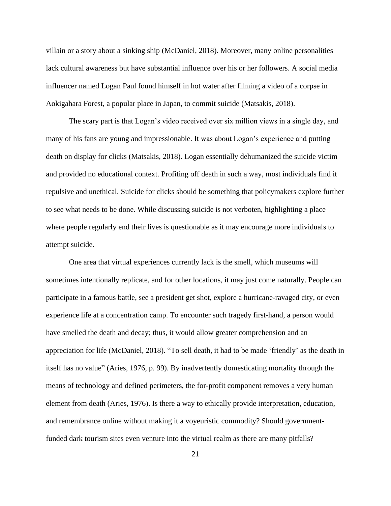villain or a story about a sinking ship (McDaniel, 2018). Moreover, many online personalities lack cultural awareness but have substantial influence over his or her followers. A social media influencer named Logan Paul found himself in hot water after filming a video of a corpse in Aokigahara Forest, a popular place in Japan, to commit suicide (Matsakis, 2018).

The scary part is that Logan's video received over six million views in a single day, and many of his fans are young and impressionable. It was about Logan's experience and putting death on display for clicks (Matsakis, 2018). Logan essentially dehumanized the suicide victim and provided no educational context. Profiting off death in such a way, most individuals find it repulsive and unethical. Suicide for clicks should be something that policymakers explore further to see what needs to be done. While discussing suicide is not verboten, highlighting a place where people regularly end their lives is questionable as it may encourage more individuals to attempt suicide.

One area that virtual experiences currently lack is the smell, which museums will sometimes intentionally replicate, and for other locations, it may just come naturally. People can participate in a famous battle, see a president get shot, explore a hurricane-ravaged city, or even experience life at a concentration camp. To encounter such tragedy first-hand, a person would have smelled the death and decay; thus, it would allow greater comprehension and an appreciation for life (McDaniel, 2018). "To sell death, it had to be made 'friendly' as the death in itself has no value" (Aries, 1976, p. 99). By inadvertently domesticating mortality through the means of technology and defined perimeters, the for-profit component removes a very human element from death (Aries, 1976). Is there a way to ethically provide interpretation, education, and remembrance online without making it a voyeuristic commodity? Should governmentfunded dark tourism sites even venture into the virtual realm as there are many pitfalls?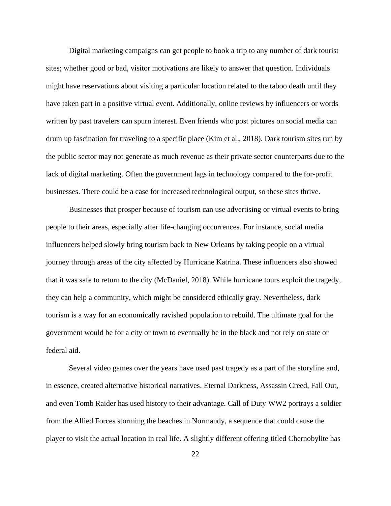Digital marketing campaigns can get people to book a trip to any number of dark tourist sites; whether good or bad, visitor motivations are likely to answer that question. Individuals might have reservations about visiting a particular location related to the taboo death until they have taken part in a positive virtual event. Additionally, online reviews by influencers or words written by past travelers can spurn interest. Even friends who post pictures on social media can drum up fascination for traveling to a specific place (Kim et al., 2018). Dark tourism sites run by the public sector may not generate as much revenue as their private sector counterparts due to the lack of digital marketing. Often the government lags in technology compared to the for-profit businesses. There could be a case for increased technological output, so these sites thrive.

Businesses that prosper because of tourism can use advertising or virtual events to bring people to their areas, especially after life-changing occurrences. For instance, social media influencers helped slowly bring tourism back to New Orleans by taking people on a virtual journey through areas of the city affected by Hurricane Katrina. These influencers also showed that it was safe to return to the city (McDaniel, 2018). While hurricane tours exploit the tragedy, they can help a community, which might be considered ethically gray. Nevertheless, dark tourism is a way for an economically ravished population to rebuild. The ultimate goal for the government would be for a city or town to eventually be in the black and not rely on state or federal aid.

Several video games over the years have used past tragedy as a part of the storyline and, in essence, created alternative historical narratives. Eternal Darkness, Assassin Creed, Fall Out, and even Tomb Raider has used history to their advantage. Call of Duty WW2 portrays a soldier from the Allied Forces storming the beaches in Normandy, a sequence that could cause the player to visit the actual location in real life. A slightly different offering titled Chernobylite has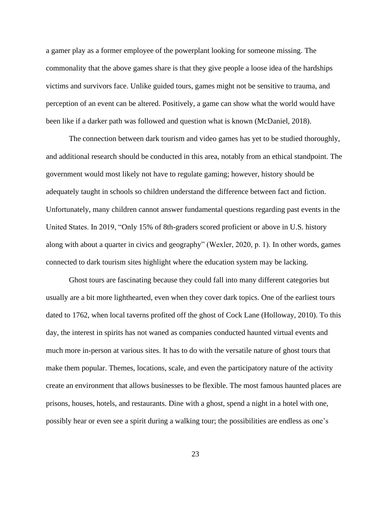a gamer play as a former employee of the powerplant looking for someone missing. The commonality that the above games share is that they give people a loose idea of the hardships victims and survivors face. Unlike guided tours, games might not be sensitive to trauma, and perception of an event can be altered. Positively, a game can show what the world would have been like if a darker path was followed and question what is known (McDaniel, 2018).

The connection between dark tourism and video games has yet to be studied thoroughly, and additional research should be conducted in this area, notably from an ethical standpoint. The government would most likely not have to regulate gaming; however, history should be adequately taught in schools so children understand the difference between fact and fiction. Unfortunately, many children cannot answer fundamental questions regarding past events in the United States. In 2019, "Only 15% of 8th-graders scored proficient or above in U.S. history along with about a quarter in civics and geography" (Wexler, 2020, p. 1). In other words, games connected to dark tourism sites highlight where the education system may be lacking.

Ghost tours are fascinating because they could fall into many different categories but usually are a bit more lighthearted, even when they cover dark topics. One of the earliest tours dated to 1762, when local taverns profited off the ghost of Cock Lane (Holloway, 2010). To this day, the interest in spirits has not waned as companies conducted haunted virtual events and much more in-person at various sites. It has to do with the versatile nature of ghost tours that make them popular. Themes, locations, scale, and even the participatory nature of the activity create an environment that allows businesses to be flexible. The most famous haunted places are prisons, houses, hotels, and restaurants. Dine with a ghost, spend a night in a hotel with one, possibly hear or even see a spirit during a walking tour; the possibilities are endless as one's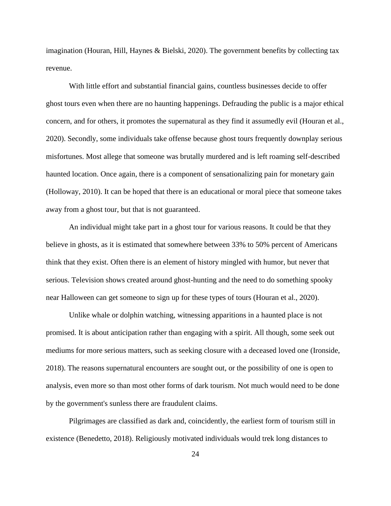imagination (Houran, Hill, Haynes & Bielski, 2020). The government benefits by collecting tax revenue.

With little effort and substantial financial gains, countless businesses decide to offer ghost tours even when there are no haunting happenings. Defrauding the public is a major ethical concern, and for others, it promotes the supernatural as they find it assumedly evil (Houran et al., 2020). Secondly, some individuals take offense because ghost tours frequently downplay serious misfortunes. Most allege that someone was brutally murdered and is left roaming self-described haunted location. Once again, there is a component of sensationalizing pain for monetary gain (Holloway, 2010). It can be hoped that there is an educational or moral piece that someone takes away from a ghost tour, but that is not guaranteed.

An individual might take part in a ghost tour for various reasons. It could be that they believe in ghosts, as it is estimated that somewhere between 33% to 50% percent of Americans think that they exist. Often there is an element of history mingled with humor, but never that serious. Television shows created around ghost-hunting and the need to do something spooky near Halloween can get someone to sign up for these types of tours (Houran et al., 2020).

Unlike whale or dolphin watching, witnessing apparitions in a haunted place is not promised. It is about anticipation rather than engaging with a spirit. All though, some seek out mediums for more serious matters, such as seeking closure with a deceased loved one (Ironside, 2018). The reasons supernatural encounters are sought out, or the possibility of one is open to analysis, even more so than most other forms of dark tourism. Not much would need to be done by the government's sunless there are fraudulent claims.

Pilgrimages are classified as dark and, coincidently, the earliest form of tourism still in existence (Benedetto, 2018). Religiously motivated individuals would trek long distances to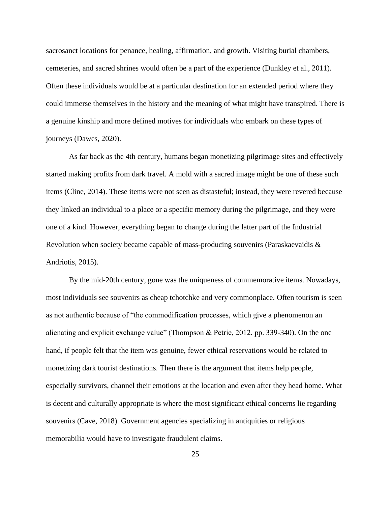sacrosanct locations for penance, healing, affirmation, and growth. Visiting burial chambers, cemeteries, and sacred shrines would often be a part of the experience (Dunkley et al., 2011). Often these individuals would be at a particular destination for an extended period where they could immerse themselves in the history and the meaning of what might have transpired. There is a genuine kinship and more defined motives for individuals who embark on these types of journeys (Dawes, 2020).

As far back as the 4th century, humans began monetizing pilgrimage sites and effectively started making profits from dark travel. A mold with a sacred image might be one of these such items (Cline, 2014). These items were not seen as distasteful; instead, they were revered because they linked an individual to a place or a specific memory during the pilgrimage, and they were one of a kind. However, everything began to change during the latter part of the Industrial Revolution when society became capable of mass-producing souvenirs (Paraskaevaidis & Andriotis, 2015).

By the mid-20th century, gone was the uniqueness of commemorative items. Nowadays, most individuals see souvenirs as cheap tchotchke and very commonplace. Often tourism is seen as not authentic because of "the commodification processes, which give a phenomenon an alienating and explicit exchange value" (Thompson & Petrie, 2012, pp. 339-340). On the one hand, if people felt that the item was genuine, fewer ethical reservations would be related to monetizing dark tourist destinations. Then there is the argument that items help people, especially survivors, channel their emotions at the location and even after they head home. What is decent and culturally appropriate is where the most significant ethical concerns lie regarding souvenirs (Cave, 2018). Government agencies specializing in antiquities or religious memorabilia would have to investigate fraudulent claims.

25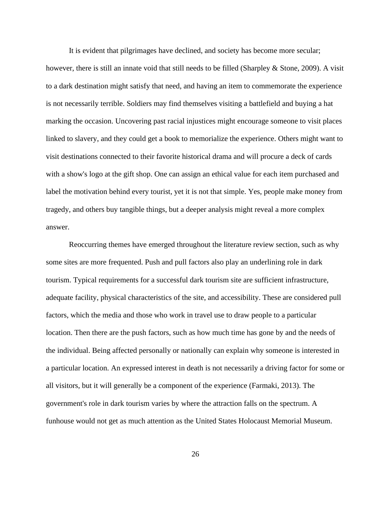It is evident that pilgrimages have declined, and society has become more secular; however, there is still an innate void that still needs to be filled (Sharpley & Stone, 2009). A visit to a dark destination might satisfy that need, and having an item to commemorate the experience is not necessarily terrible. Soldiers may find themselves visiting a battlefield and buying a hat marking the occasion. Uncovering past racial injustices might encourage someone to visit places linked to slavery, and they could get a book to memorialize the experience. Others might want to visit destinations connected to their favorite historical drama and will procure a deck of cards with a show's logo at the gift shop. One can assign an ethical value for each item purchased and label the motivation behind every tourist, yet it is not that simple. Yes, people make money from tragedy, and others buy tangible things, but a deeper analysis might reveal a more complex answer.

Reoccurring themes have emerged throughout the literature review section, such as why some sites are more frequented. Push and pull factors also play an underlining role in dark tourism. Typical requirements for a successful dark tourism site are sufficient infrastructure, adequate facility, physical characteristics of the site, and accessibility. These are considered pull factors, which the media and those who work in travel use to draw people to a particular location. Then there are the push factors, such as how much time has gone by and the needs of the individual. Being affected personally or nationally can explain why someone is interested in a particular location. An expressed interest in death is not necessarily a driving factor for some or all visitors, but it will generally be a component of the experience (Farmaki, 2013). The government's role in dark tourism varies by where the attraction falls on the spectrum. A funhouse would not get as much attention as the United States Holocaust Memorial Museum.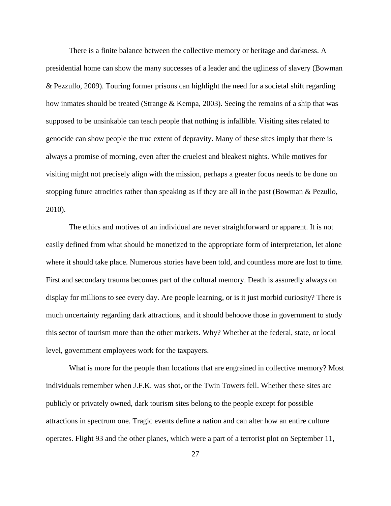There is a finite balance between the collective memory or heritage and darkness. A presidential home can show the many successes of a leader and the ugliness of slavery (Bowman & Pezzullo, 2009). Touring former prisons can highlight the need for a societal shift regarding how inmates should be treated (Strange & Kempa, 2003). Seeing the remains of a ship that was supposed to be unsinkable can teach people that nothing is infallible. Visiting sites related to genocide can show people the true extent of depravity. Many of these sites imply that there is always a promise of morning, even after the cruelest and bleakest nights. While motives for visiting might not precisely align with the mission, perhaps a greater focus needs to be done on stopping future atrocities rather than speaking as if they are all in the past (Bowman & Pezullo, 2010).

The ethics and motives of an individual are never straightforward or apparent. It is not easily defined from what should be monetized to the appropriate form of interpretation, let alone where it should take place. Numerous stories have been told, and countless more are lost to time. First and secondary trauma becomes part of the cultural memory. Death is assuredly always on display for millions to see every day. Are people learning, or is it just morbid curiosity? There is much uncertainty regarding dark attractions, and it should behoove those in government to study this sector of tourism more than the other markets. Why? Whether at the federal, state, or local level, government employees work for the taxpayers.

What is more for the people than locations that are engrained in collective memory? Most individuals remember when J.F.K. was shot, or the Twin Towers fell. Whether these sites are publicly or privately owned, dark tourism sites belong to the people except for possible attractions in spectrum one. Tragic events define a nation and can alter how an entire culture operates. Flight 93 and the other planes, which were a part of a terrorist plot on September 11,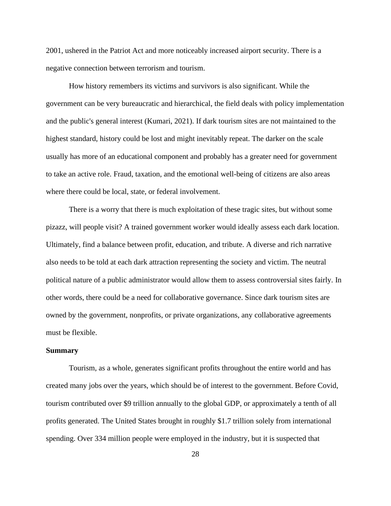2001, ushered in the Patriot Act and more noticeably increased airport security. There is a negative connection between terrorism and tourism.

How history remembers its victims and survivors is also significant. While the government can be very bureaucratic and hierarchical, the field deals with policy implementation and the public's general interest (Kumari, 2021). If dark tourism sites are not maintained to the highest standard, history could be lost and might inevitably repeat. The darker on the scale usually has more of an educational component and probably has a greater need for government to take an active role. Fraud, taxation, and the emotional well-being of citizens are also areas where there could be local, state, or federal involvement.

There is a worry that there is much exploitation of these tragic sites, but without some pizazz, will people visit? A trained government worker would ideally assess each dark location. Ultimately, find a balance between profit, education, and tribute. A diverse and rich narrative also needs to be told at each dark attraction representing the society and victim. The neutral political nature of a public administrator would allow them to assess controversial sites fairly. In other words, there could be a need for collaborative governance. Since dark tourism sites are owned by the government, nonprofits, or private organizations, any collaborative agreements must be flexible.

#### **Summary**

Tourism, as a whole, generates significant profits throughout the entire world and has created many jobs over the years, which should be of interest to the government. Before Covid, tourism contributed over \$9 trillion annually to the global GDP, or approximately a tenth of all profits generated. The United States brought in roughly \$1.7 trillion solely from international spending. Over 334 million people were employed in the industry, but it is suspected that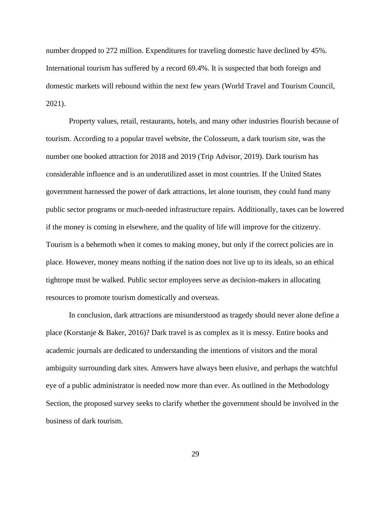number dropped to 272 million. Expenditures for traveling domestic have declined by 45%. International tourism has suffered by a record 69.4%. It is suspected that both foreign and domestic markets will rebound within the next few years (World Travel and Tourism Council, 2021).

Property values, retail, restaurants, hotels, and many other industries flourish because of tourism. According to a popular travel website, the Colosseum, a dark tourism site, was the number one booked attraction for 2018 and 2019 (Trip Advisor, 2019). Dark tourism has considerable influence and is an underutilized asset in most countries. If the United States government harnessed the power of dark attractions, let alone tourism, they could fund many public sector programs or much-needed infrastructure repairs. Additionally, taxes can be lowered if the money is coming in elsewhere, and the quality of life will improve for the citizenry. Tourism is a behemoth when it comes to making money, but only if the correct policies are in place. However, money means nothing if the nation does not live up to its ideals, so an ethical tightrope must be walked. Public sector employees serve as decision-makers in allocating resources to promote tourism domestically and overseas.

In conclusion, dark attractions are misunderstood as tragedy should never alone define a place (Korstanje & Baker, 2016)? Dark travel is as complex as it is messy. Entire books and academic journals are dedicated to understanding the intentions of visitors and the moral ambiguity surrounding dark sites. Answers have always been elusive, and perhaps the watchful eye of a public administrator is needed now more than ever. As outlined in the Methodology Section, the proposed survey seeks to clarify whether the government should be involved in the business of dark tourism.

29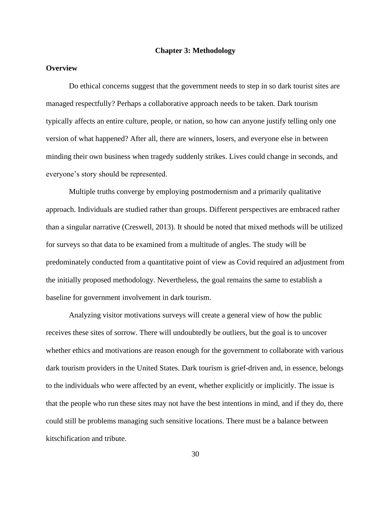## **Chapter 3: Methodology**

## **Overview**

Do ethical concerns suggest that the government needs to step in so dark tourist sites are managed respectfully? Perhaps a collaborative approach needs to be taken. Dark tourism typically affects an entire culture, people, or nation, so how can anyone justify telling only one version of what happened? After all, there are winners, losers, and everyone else in between minding their own business when tragedy suddenly strikes. Lives could change in seconds, and everyone's story should be represented.

Multiple truths converge by employing postmodernism and a primarily qualitative approach. Individuals are studied rather than groups. Different perspectives are embraced rather than a singular narrative (Creswell, 2013). It should be noted that mixed methods will be utilized for surveys so that data to be examined from a multitude of angles. The study will be predominately conducted from a quantitative point of view as Covid required an adjustment from the initially proposed methodology. Nevertheless, the goal remains the same to establish a baseline for government involvement in dark tourism.

Analyzing visitor motivations surveys will create a general view of how the public receives these sites of sorrow. There will undoubtedly be outliers, but the goal is to uncover whether ethics and motivations are reason enough for the government to collaborate with various dark tourism providers in the United States. Dark tourism is grief-driven and, in essence, belongs to the individuals who were affected by an event, whether explicitly or implicitly. The issue is that the people who run these sites may not have the best intentions in mind, and if they do, there could still be problems managing such sensitive locations. There must be a balance between kitschification and tribute.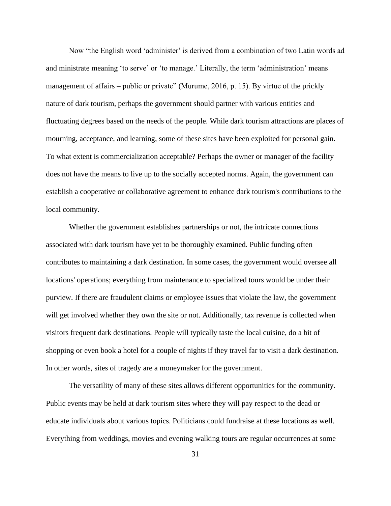Now "the English word 'administer' is derived from a combination of two Latin words ad and ministrate meaning 'to serve' or 'to manage.' Literally, the term 'administration' means management of affairs – public or private" (Murume, 2016, p. 15). By virtue of the prickly nature of dark tourism, perhaps the government should partner with various entities and fluctuating degrees based on the needs of the people. While dark tourism attractions are places of mourning, acceptance, and learning, some of these sites have been exploited for personal gain. To what extent is commercialization acceptable? Perhaps the owner or manager of the facility does not have the means to live up to the socially accepted norms. Again, the government can establish a cooperative or collaborative agreement to enhance dark tourism's contributions to the local community.

Whether the government establishes partnerships or not, the intricate connections associated with dark tourism have yet to be thoroughly examined. Public funding often contributes to maintaining a dark destination. In some cases, the government would oversee all locations' operations; everything from maintenance to specialized tours would be under their purview. If there are fraudulent claims or employee issues that violate the law, the government will get involved whether they own the site or not. Additionally, tax revenue is collected when visitors frequent dark destinations. People will typically taste the local cuisine, do a bit of shopping or even book a hotel for a couple of nights if they travel far to visit a dark destination. In other words, sites of tragedy are a moneymaker for the government.

The versatility of many of these sites allows different opportunities for the community. Public events may be held at dark tourism sites where they will pay respect to the dead or educate individuals about various topics. Politicians could fundraise at these locations as well. Everything from weddings, movies and evening walking tours are regular occurrences at some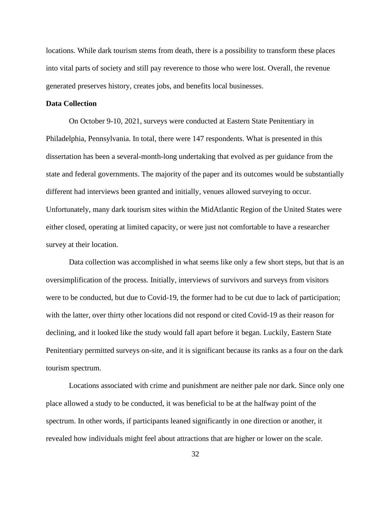locations. While dark tourism stems from death, there is a possibility to transform these places into vital parts of society and still pay reverence to those who were lost. Overall, the revenue generated preserves history, creates jobs, and benefits local businesses.

## **Data Collection**

On October 9-10, 2021, surveys were conducted at Eastern State Penitentiary in Philadelphia, Pennsylvania. In total, there were 147 respondents. What is presented in this dissertation has been a several-month-long undertaking that evolved as per guidance from the state and federal governments. The majority of the paper and its outcomes would be substantially different had interviews been granted and initially, venues allowed surveying to occur. Unfortunately, many dark tourism sites within the MidAtlantic Region of the United States were either closed, operating at limited capacity, or were just not comfortable to have a researcher survey at their location.

Data collection was accomplished in what seems like only a few short steps, but that is an oversimplification of the process. Initially, interviews of survivors and surveys from visitors were to be conducted, but due to Covid-19, the former had to be cut due to lack of participation; with the latter, over thirty other locations did not respond or cited Covid-19 as their reason for declining, and it looked like the study would fall apart before it began. Luckily, Eastern State Penitentiary permitted surveys on-site, and it is significant because its ranks as a four on the dark tourism spectrum.

Locations associated with crime and punishment are neither pale nor dark. Since only one place allowed a study to be conducted, it was beneficial to be at the halfway point of the spectrum. In other words, if participants leaned significantly in one direction or another, it revealed how individuals might feel about attractions that are higher or lower on the scale.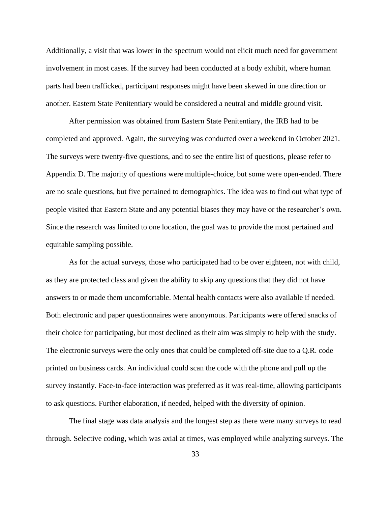Additionally, a visit that was lower in the spectrum would not elicit much need for government involvement in most cases. If the survey had been conducted at a body exhibit, where human parts had been trafficked, participant responses might have been skewed in one direction or another. Eastern State Penitentiary would be considered a neutral and middle ground visit.

After permission was obtained from Eastern State Penitentiary, the IRB had to be completed and approved. Again, the surveying was conducted over a weekend in October 2021. The surveys were twenty-five questions, and to see the entire list of questions, please refer to Appendix D. The majority of questions were multiple-choice, but some were open-ended. There are no scale questions, but five pertained to demographics. The idea was to find out what type of people visited that Eastern State and any potential biases they may have or the researcher's own. Since the research was limited to one location, the goal was to provide the most pertained and equitable sampling possible.

As for the actual surveys, those who participated had to be over eighteen, not with child, as they are protected class and given the ability to skip any questions that they did not have answers to or made them uncomfortable. Mental health contacts were also available if needed. Both electronic and paper questionnaires were anonymous. Participants were offered snacks of their choice for participating, but most declined as their aim was simply to help with the study. The electronic surveys were the only ones that could be completed off-site due to a Q.R. code printed on business cards. An individual could scan the code with the phone and pull up the survey instantly. Face-to-face interaction was preferred as it was real-time, allowing participants to ask questions. Further elaboration, if needed, helped with the diversity of opinion.

The final stage was data analysis and the longest step as there were many surveys to read through. Selective coding, which was axial at times, was employed while analyzing surveys. The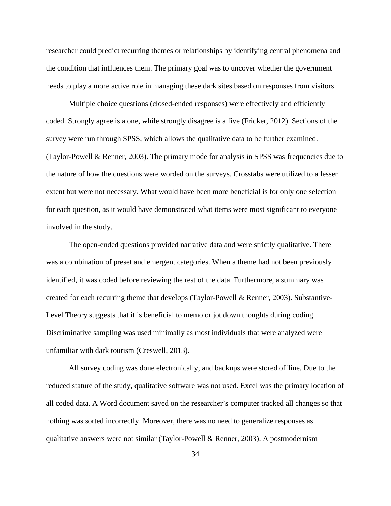researcher could predict recurring themes or relationships by identifying central phenomena and the condition that influences them. The primary goal was to uncover whether the government needs to play a more active role in managing these dark sites based on responses from visitors.

Multiple choice questions (closed-ended responses) were effectively and efficiently coded. Strongly agree is a one, while strongly disagree is a five (Fricker, 2012). Sections of the survey were run through SPSS, which allows the qualitative data to be further examined. (Taylor-Powell & Renner, 2003). The primary mode for analysis in SPSS was frequencies due to the nature of how the questions were worded on the surveys. Crosstabs were utilized to a lesser extent but were not necessary. What would have been more beneficial is for only one selection for each question, as it would have demonstrated what items were most significant to everyone involved in the study.

The open-ended questions provided narrative data and were strictly qualitative. There was a combination of preset and emergent categories. When a theme had not been previously identified, it was coded before reviewing the rest of the data. Furthermore, a summary was created for each recurring theme that develops (Taylor-Powell & Renner, 2003). Substantive-Level Theory suggests that it is beneficial to memo or jot down thoughts during coding. Discriminative sampling was used minimally as most individuals that were analyzed were unfamiliar with dark tourism (Creswell, 2013).

All survey coding was done electronically, and backups were stored offline. Due to the reduced stature of the study, qualitative software was not used. Excel was the primary location of all coded data. A Word document saved on the researcher's computer tracked all changes so that nothing was sorted incorrectly. Moreover, there was no need to generalize responses as qualitative answers were not similar (Taylor-Powell & Renner, 2003). A postmodernism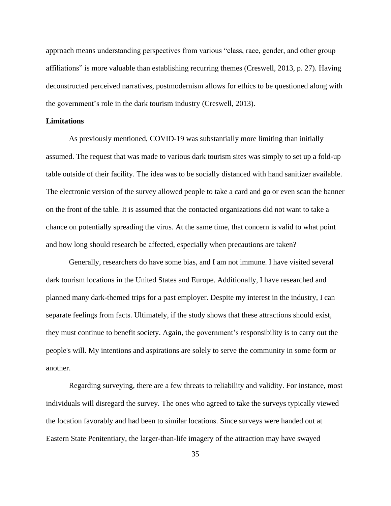approach means understanding perspectives from various "class, race, gender, and other group affiliations" is more valuable than establishing recurring themes (Creswell, 2013, p. 27). Having deconstructed perceived narratives, postmodernism allows for ethics to be questioned along with the government's role in the dark tourism industry (Creswell, 2013).

### **Limitations**

As previously mentioned, COVID-19 was substantially more limiting than initially assumed. The request that was made to various dark tourism sites was simply to set up a fold-up table outside of their facility. The idea was to be socially distanced with hand sanitizer available. The electronic version of the survey allowed people to take a card and go or even scan the banner on the front of the table. It is assumed that the contacted organizations did not want to take a chance on potentially spreading the virus. At the same time, that concern is valid to what point and how long should research be affected, especially when precautions are taken?

Generally, researchers do have some bias, and I am not immune. I have visited several dark tourism locations in the United States and Europe. Additionally, I have researched and planned many dark-themed trips for a past employer. Despite my interest in the industry, I can separate feelings from facts. Ultimately, if the study shows that these attractions should exist, they must continue to benefit society. Again, the government's responsibility is to carry out the people's will. My intentions and aspirations are solely to serve the community in some form or another.

Regarding surveying, there are a few threats to reliability and validity. For instance, most individuals will disregard the survey. The ones who agreed to take the surveys typically viewed the location favorably and had been to similar locations. Since surveys were handed out at Eastern State Penitentiary, the larger-than-life imagery of the attraction may have swayed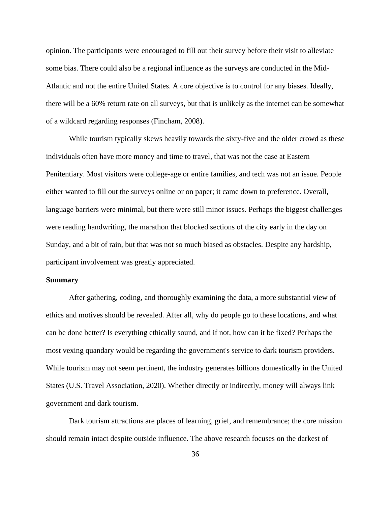opinion. The participants were encouraged to fill out their survey before their visit to alleviate some bias. There could also be a regional influence as the surveys are conducted in the Mid-Atlantic and not the entire United States. A core objective is to control for any biases. Ideally, there will be a 60% return rate on all surveys, but that is unlikely as the internet can be somewhat of a wildcard regarding responses (Fincham, 2008).

While tourism typically skews heavily towards the sixty-five and the older crowd as these individuals often have more money and time to travel, that was not the case at Eastern Penitentiary. Most visitors were college-age or entire families, and tech was not an issue. People either wanted to fill out the surveys online or on paper; it came down to preference. Overall, language barriers were minimal, but there were still minor issues. Perhaps the biggest challenges were reading handwriting, the marathon that blocked sections of the city early in the day on Sunday, and a bit of rain, but that was not so much biased as obstacles. Despite any hardship, participant involvement was greatly appreciated.

#### **Summary**

After gathering, coding, and thoroughly examining the data, a more substantial view of ethics and motives should be revealed. After all, why do people go to these locations, and what can be done better? Is everything ethically sound, and if not, how can it be fixed? Perhaps the most vexing quandary would be regarding the government's service to dark tourism providers. While tourism may not seem pertinent, the industry generates billions domestically in the United States (U.S. Travel Association, 2020). Whether directly or indirectly, money will always link government and dark tourism.

Dark tourism attractions are places of learning, grief, and remembrance; the core mission should remain intact despite outside influence. The above research focuses on the darkest of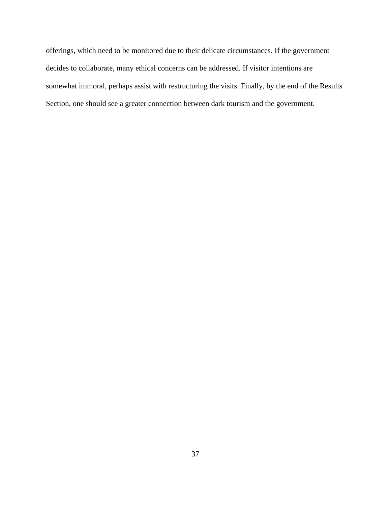offerings, which need to be monitored due to their delicate circumstances. If the government decides to collaborate, many ethical concerns can be addressed. If visitor intentions are somewhat immoral, perhaps assist with restructuring the visits. Finally, by the end of the Results Section, one should see a greater connection between dark tourism and the government.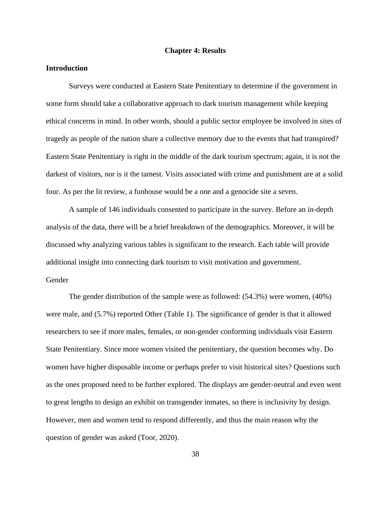### **Chapter 4: Results**

### **Introduction**

Surveys were conducted at Eastern State Penitentiary to determine if the government in some form should take a collaborative approach to dark tourism management while keeping ethical concerns in mind. In other words, should a public sector employee be involved in sites of tragedy as people of the nation share a collective memory due to the events that had transpired? Eastern State Penitentiary is right in the middle of the dark tourism spectrum; again, it is not the darkest of visitors, nor is it the tamest. Visits associated with crime and punishment are at a solid four. As per the lit review, a funhouse would be a one and a genocide site a seven.

A sample of 146 individuals consented to participate in the survey. Before an in-depth analysis of the data, there will be a brief breakdown of the demographics. Moreover, it will be discussed why analyzing various tables is significant to the research. Each table will provide additional insight into connecting dark tourism to visit motivation and government. Gender

The gender distribution of the sample were as followed: (54.3%) were women, (40%) were male, and (5.7%) reported Other (Table 1). The significance of gender is that it allowed researchers to see if more males, females, or non-gender conforming individuals visit Eastern State Penitentiary. Since more women visited the penitentiary, the question becomes why. Do women have higher disposable income or perhaps prefer to visit historical sites? Questions such as the ones proposed need to be further explored. The displays are gender-neutral and even went to great lengths to design an exhibit on transgender inmates, so there is inclusivity by design. However, men and women tend to respond differently, and thus the main reason why the question of gender was asked (Toor, 2020).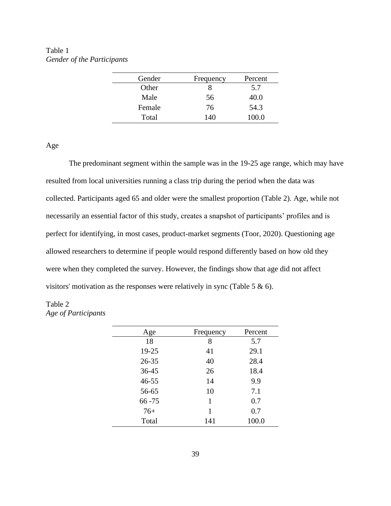Table 1 *Gender of the Participants*

| Gender | Frequency | Percent |
|--------|-----------|---------|
| Other  |           | 5.7     |
| Male   | 56        | 40.0    |
| Female | 76        | 54.3    |
| Total  | 140       | 100.0   |

Age

The predominant segment within the sample was in the 19-25 age range, which may have resulted from local universities running a class trip during the period when the data was collected. Participants aged 65 and older were the smallest proportion (Table 2). Age, while not necessarily an essential factor of this study, creates a snapshot of participants' profiles and is perfect for identifying, in most cases, product-market segments (Toor, 2020). Questioning age allowed researchers to determine if people would respond differently based on how old they were when they completed the survey. However, the findings show that age did not affect visitors' motivation as the responses were relatively in sync (Table 5 & 6).

# Table 2 *Age of Participants*

| Age       | Frequency | Percent |
|-----------|-----------|---------|
| 18        | 8         | 5.7     |
| 19-25     | 41        | 29.1    |
| $26 - 35$ | 40        | 28.4    |
| 36-45     | 26        | 18.4    |
| $46 - 55$ | 14        | 9.9     |
| 56-65     | 10        | 7.1     |
| $66 - 75$ | 1         | 0.7     |
| $76+$     | 1         | 0.7     |
| Total     | 141       | 100.0   |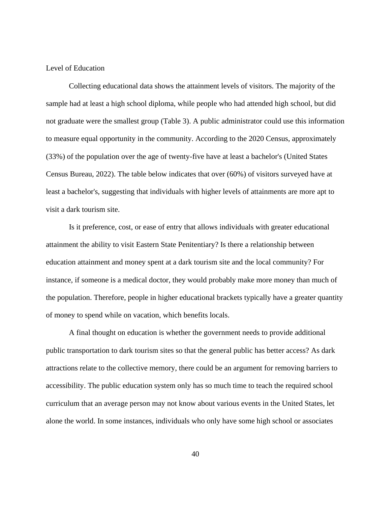### Level of Education

Collecting educational data shows the attainment levels of visitors. The majority of the sample had at least a high school diploma, while people who had attended high school, but did not graduate were the smallest group (Table 3). A public administrator could use this information to measure equal opportunity in the community. According to the 2020 Census, approximately (33%) of the population over the age of twenty-five have at least a bachelor's (United States Census Bureau, 2022). The table below indicates that over (60%) of visitors surveyed have at least a bachelor's, suggesting that individuals with higher levels of attainments are more apt to visit a dark tourism site.

Is it preference, cost, or ease of entry that allows individuals with greater educational attainment the ability to visit Eastern State Penitentiary? Is there a relationship between education attainment and money spent at a dark tourism site and the local community? For instance, if someone is a medical doctor, they would probably make more money than much of the population. Therefore, people in higher educational brackets typically have a greater quantity of money to spend while on vacation, which benefits locals.

A final thought on education is whether the government needs to provide additional public transportation to dark tourism sites so that the general public has better access? As dark attractions relate to the collective memory, there could be an argument for removing barriers to accessibility. The public education system only has so much time to teach the required school curriculum that an average person may not know about various events in the United States, let alone the world. In some instances, individuals who only have some high school or associates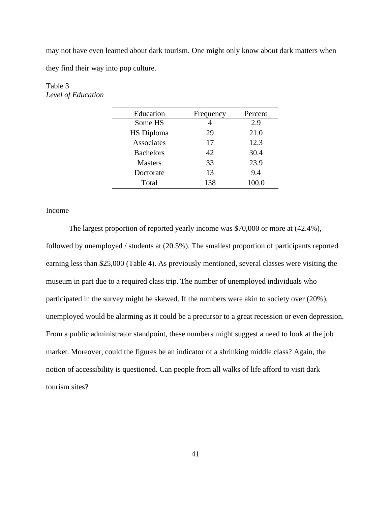may not have even learned about dark tourism. One might only know about dark matters when they find their way into pop culture.

| Education         | Frequency | Percent |
|-------------------|-----------|---------|
| Some HS           | 4         | 2.9     |
| <b>HS Diploma</b> | 29        | 21.0    |
| Associates        | 17        | 12.3    |
| <b>Bachelors</b>  | 42        | 30.4    |
| <b>Masters</b>    | 33        | 23.9    |
| Doctorate         | 13        | 9.4     |
| Total             | 138       | 100.0   |

# Table 3 *Level of Education*

## Income

The largest proportion of reported yearly income was \$70,000 or more at (42.4%), followed by unemployed / students at (20.5%). The smallest proportion of participants reported earning less than \$25,000 (Table 4). As previously mentioned, several classes were visiting the museum in part due to a required class trip. The number of unemployed individuals who participated in the survey might be skewed. If the numbers were akin to society over (20%), unemployed would be alarming as it could be a precursor to a great recession or even depression. From a public administrator standpoint, these numbers might suggest a need to look at the job market. Moreover, could the figures be an indicator of a shrinking middle class? Again, the notion of accessibility is questioned. Can people from all walks of life afford to visit dark tourism sites?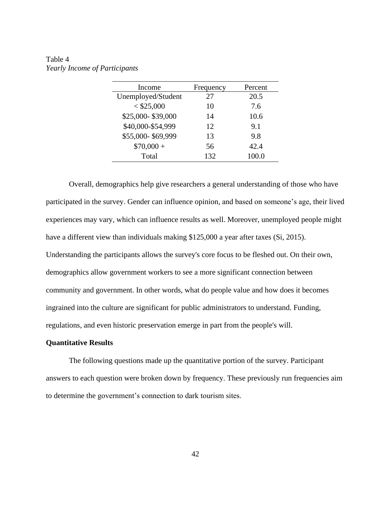| Table 4 |                               |
|---------|-------------------------------|
|         | Yearly Income of Participants |

| Income             | Frequency | Percent |
|--------------------|-----------|---------|
| Unemployed/Student | 27        | 20.5    |
| $<$ \$25,000       | 10        | 7.6     |
| \$25,000-\$39,000  | 14        | 10.6    |
| \$40,000-\$54,999  | 12        | 9.1     |
| \$55,000-\$69,999  | 13        | 9.8     |
| $$70,000 +$        | 56        | 42.4    |
| Total              | 132       | 100.0   |

Overall, demographics help give researchers a general understanding of those who have participated in the survey. Gender can influence opinion, and based on someone's age, their lived experiences may vary, which can influence results as well. Moreover, unemployed people might have a different view than individuals making \$125,000 a year after taxes (Si, 2015). Understanding the participants allows the survey's core focus to be fleshed out. On their own, demographics allow government workers to see a more significant connection between community and government. In other words, what do people value and how does it becomes ingrained into the culture are significant for public administrators to understand. Funding, regulations, and even historic preservation emerge in part from the people's will.

#### **Quantitative Results**

The following questions made up the quantitative portion of the survey. Participant answers to each question were broken down by frequency. These previously run frequencies aim to determine the government's connection to dark tourism sites.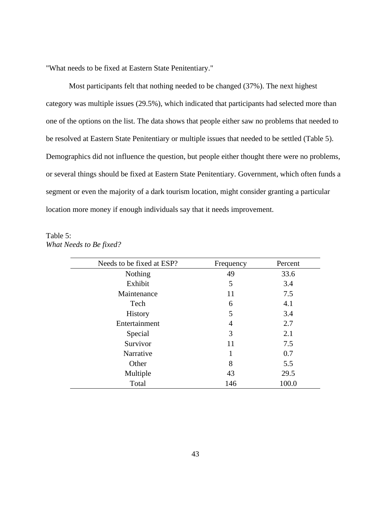"What needs to be fixed at Eastern State Penitentiary."

Most participants felt that nothing needed to be changed (37%). The next highest category was multiple issues (29.5%), which indicated that participants had selected more than one of the options on the list. The data shows that people either saw no problems that needed to be resolved at Eastern State Penitentiary or multiple issues that needed to be settled (Table 5). Demographics did not influence the question, but people either thought there were no problems, or several things should be fixed at Eastern State Penitentiary. Government, which often funds a segment or even the majority of a dark tourism location, might consider granting a particular location more money if enough individuals say that it needs improvement.

| Table 5:                |  |
|-------------------------|--|
| What Needs to Be fixed? |  |

| Needs to be fixed at ESP? | Frequency | Percent |
|---------------------------|-----------|---------|
| <b>Nothing</b>            | 49        | 33.6    |
| Exhibit                   | 5         | 3.4     |
| Maintenance               | 11        | 7.5     |
| Tech                      | 6         | 4.1     |
| <b>History</b>            | 5         | 3.4     |
| Entertainment             | 4         | 2.7     |
| Special                   | 3         | 2.1     |
| Survivor                  | 11        | 7.5     |
| Narrative                 | 1         | 0.7     |
| Other                     | 8         | 5.5     |
| Multiple                  | 43        | 29.5    |
| Total                     | 146       | 100.0   |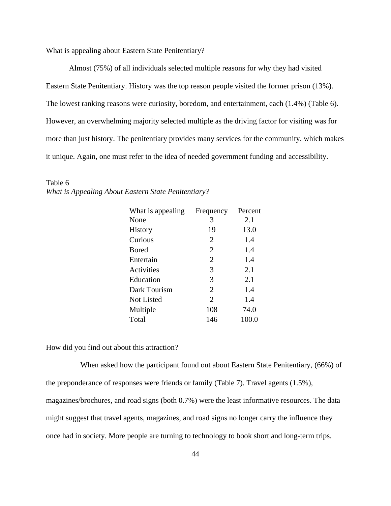What is appealing about Eastern State Penitentiary?

Almost (75%) of all individuals selected multiple reasons for why they had visited Eastern State Penitentiary. History was the top reason people visited the former prison (13%). The lowest ranking reasons were curiosity, boredom, and entertainment, each (1.4%) (Table 6). However, an overwhelming majority selected multiple as the driving factor for visiting was for more than just history. The penitentiary provides many services for the community, which makes it unique. Again, one must refer to the idea of needed government funding and accessibility.

| What is appealing | Frequency      | Percent |
|-------------------|----------------|---------|
| None              | 3              | 2.1     |
| <b>History</b>    | 19             | 13.0    |
| Curious           | 2              | 1.4     |
| <b>B</b> ored     | $\overline{2}$ | 1.4     |
| Entertain         | $\overline{2}$ | 1.4     |
| Activities        | 3              | 2.1     |
| Education         | 3              | 2.1     |
| Dark Tourism      | $\overline{2}$ | 1.4     |
| Not Listed        | $\mathfrak{D}$ | 1.4     |
| Multiple          | 108            | 74.0    |
| Total             | 146            | 100.0   |

Table 6 *What is Appealing About Eastern State Penitentiary?*

How did you find out about this attraction?

When asked how the participant found out about Eastern State Penitentiary, (66%) of the preponderance of responses were friends or family (Table 7). Travel agents (1.5%), magazines/brochures, and road signs (both 0.7%) were the least informative resources. The data might suggest that travel agents, magazines, and road signs no longer carry the influence they once had in society. More people are turning to technology to book short and long-term trips.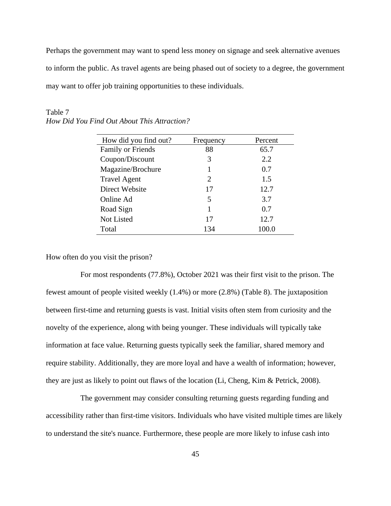Perhaps the government may want to spend less money on signage and seek alternative avenues to inform the public. As travel agents are being phased out of society to a degree, the government may want to offer job training opportunities to these individuals.

| How did you find out?    | Frequency             | Percent |
|--------------------------|-----------------------|---------|
| <b>Family or Friends</b> | 88                    | 65.7    |
| Coupon/Discount          | 3                     | 2.2     |
| Magazine/Brochure        | 1                     | 0.7     |
| <b>Travel Agent</b>      | $\mathcal{D}_{\cdot}$ | 1.5     |
| Direct Website           | 17                    | 12.7    |
| Online Ad                | 5                     | 3.7     |
| Road Sign                | 1                     | 0.7     |
| Not Listed               | 17                    | 12.7    |
| Total                    | 134                   | 100.0   |

Table 7 *How Did You Find Out About This Attraction?*

How often do you visit the prison?

For most respondents (77.8%), October 2021 was their first visit to the prison. The fewest amount of people visited weekly (1.4%) or more (2.8%) (Table 8). The juxtaposition between first-time and returning guests is vast. Initial visits often stem from curiosity and the novelty of the experience, along with being younger. These individuals will typically take information at face value. Returning guests typically seek the familiar, shared memory and require stability. Additionally, they are more loyal and have a wealth of information; however, they are just as likely to point out flaws of the location (Li, Cheng, Kim & Petrick, 2008).

The government may consider consulting returning guests regarding funding and accessibility rather than first-time visitors. Individuals who have visited multiple times are likely to understand the site's nuance. Furthermore, these people are more likely to infuse cash into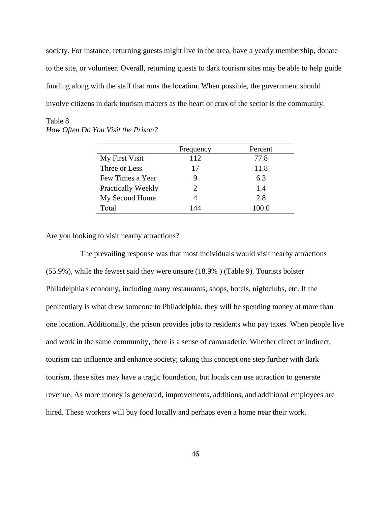society. For instance, returning guests might live in the area, have a yearly membership, donate to the site, or volunteer. Overall, returning guests to dark tourism sites may be able to help guide funding along with the staff that runs the location. When possible, the government should involve citizens in dark tourism matters as the heart or crux of the sector is the community.

|                    | Frequency             | Percent |
|--------------------|-----------------------|---------|
| My First Visit     | 112                   | 77.8    |
| Three or Less      | 17                    | 11.8    |
| Few Times a Year   |                       | 6.3     |
| Practically Weekly | $\mathcal{D}_{\cdot}$ | 1.4     |
| My Second Home     |                       | 2.8     |
| Total              | 144                   | 100.0   |

# Table 8 *How Often Do You Visit the Prison?*

Are you looking to visit nearby attractions?

The prevailing response was that most individuals would visit nearby attractions (55.9%), while the fewest said they were unsure (18.9% ) (Table 9). Tourists bolster Philadelphia's economy, including many restaurants, shops, hotels, nightclubs, etc. If the penitentiary is what drew someone to Philadelphia, they will be spending money at more than one location. Additionally, the prison provides jobs to residents who pay taxes. When people live and work in the same community, there is a sense of camaraderie. Whether direct or indirect, tourism can influence and enhance society; taking this concept one step further with dark tourism, these sites may have a tragic foundation, but locals can use attraction to generate revenue. As more money is generated, improvements, additions, and additional employees are hired. These workers will buy food locally and perhaps even a home near their work.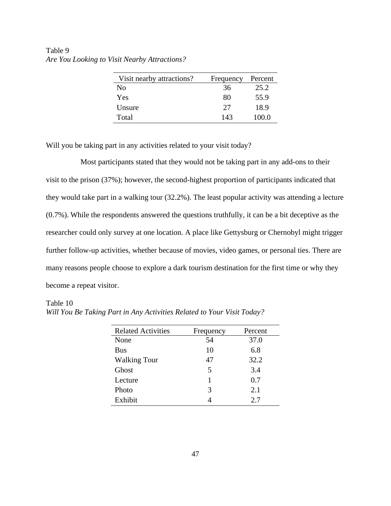| Visit nearby attractions? | Frequency | Percent |
|---------------------------|-----------|---------|
| No                        | 36        | 25.2    |
| Yes                       | 80        | 55.9    |
| Unsure                    | 27        | 18.9    |
| Total                     | 143       | 100.0   |

Table 9 *Are You Looking to Visit Nearby Attractions?*

Will you be taking part in any activities related to your visit today?

Most participants stated that they would not be taking part in any add-ons to their visit to the prison (37%); however, the second-highest proportion of participants indicated that they would take part in a walking tour (32.2%). The least popular activity was attending a lecture (0.7%). While the respondents answered the questions truthfully, it can be a bit deceptive as the researcher could only survey at one location. A place like Gettysburg or Chernobyl might trigger further follow-up activities, whether because of movies, video games, or personal ties. There are many reasons people choose to explore a dark tourism destination for the first time or why they become a repeat visitor.

#### Table 10

| <b>Related Activities</b> | Frequency | Percent |
|---------------------------|-----------|---------|
| None                      | 54        | 37.0    |
| <b>Bus</b>                | 10        | 6.8     |
| <b>Walking Tour</b>       | 47        | 32.2    |
| Ghost                     | 5         | 3.4     |
| Lecture                   |           | 0.7     |
| Photo                     | 3         | 2.1     |
| Exhibit                   |           | 2.7     |

*Will You Be Taking Part in Any Activities Related to Your Visit Today?*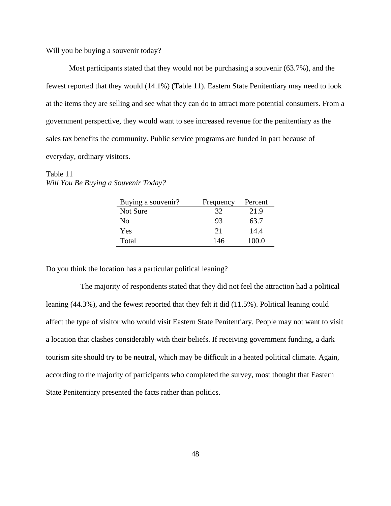Will you be buying a souvenir today?

Most participants stated that they would not be purchasing a souvenir (63.7%), and the fewest reported that they would (14.1%) (Table 11). Eastern State Penitentiary may need to look at the items they are selling and see what they can do to attract more potential consumers. From a government perspective, they would want to see increased revenue for the penitentiary as the sales tax benefits the community. Public service programs are funded in part because of everyday, ordinary visitors.

| Table 11                             |  |
|--------------------------------------|--|
| Will You Be Buying a Souvenir Today? |  |

| Buying a souvenir? | Frequency | Percent |
|--------------------|-----------|---------|
| Not Sure           | 32        | 21.9    |
| No                 | 93        | 63.7    |
| Yes                | 21        | 14.4    |
| Total              | 146       | 100.0   |

Do you think the location has a particular political leaning?

The majority of respondents stated that they did not feel the attraction had a political leaning (44.3%), and the fewest reported that they felt it did (11.5%). Political leaning could affect the type of visitor who would visit Eastern State Penitentiary. People may not want to visit a location that clashes considerably with their beliefs. If receiving government funding, a dark tourism site should try to be neutral, which may be difficult in a heated political climate. Again, according to the majority of participants who completed the survey, most thought that Eastern State Penitentiary presented the facts rather than politics.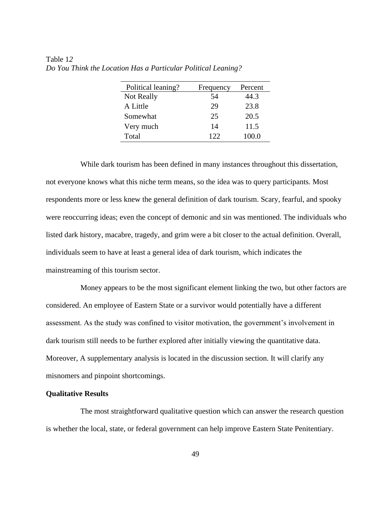| Political leaning? | Frequency | Percent |
|--------------------|-----------|---------|
| Not Really         | 54        | 44.3    |
| A Little           | 29        | 23.8    |
| Somewhat           | 25        | 20.5    |
| Very much          | 14        | 11.5    |
| Total              | 122       | 100.0   |

Table 1*2 Do You Think the Location Has a Particular Political Leaning?*

While dark tourism has been defined in many instances throughout this dissertation, not everyone knows what this niche term means, so the idea was to query participants. Most respondents more or less knew the general definition of dark tourism. Scary, fearful, and spooky were reoccurring ideas; even the concept of demonic and sin was mentioned. The individuals who listed dark history, macabre, tragedy, and grim were a bit closer to the actual definition. Overall, individuals seem to have at least a general idea of dark tourism, which indicates the mainstreaming of this tourism sector.

Money appears to be the most significant element linking the two, but other factors are considered. An employee of Eastern State or a survivor would potentially have a different assessment. As the study was confined to visitor motivation, the government's involvement in dark tourism still needs to be further explored after initially viewing the quantitative data. Moreover, A supplementary analysis is located in the discussion section. It will clarify any misnomers and pinpoint shortcomings.

# **Qualitative Results**

The most straightforward qualitative question which can answer the research question is whether the local, state, or federal government can help improve Eastern State Penitentiary.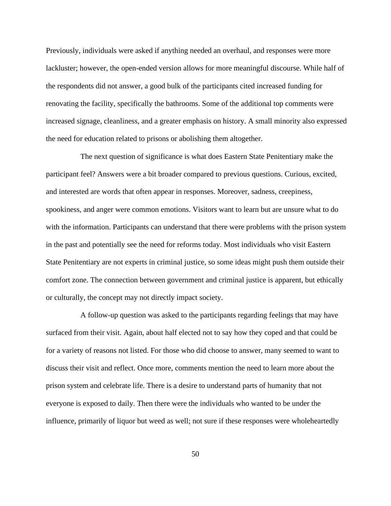Previously, individuals were asked if anything needed an overhaul, and responses were more lackluster; however, the open-ended version allows for more meaningful discourse. While half of the respondents did not answer, a good bulk of the participants cited increased funding for renovating the facility, specifically the bathrooms. Some of the additional top comments were increased signage, cleanliness, and a greater emphasis on history. A small minority also expressed the need for education related to prisons or abolishing them altogether.

The next question of significance is what does Eastern State Penitentiary make the participant feel? Answers were a bit broader compared to previous questions. Curious, excited, and interested are words that often appear in responses. Moreover, sadness, creepiness, spookiness, and anger were common emotions. Visitors want to learn but are unsure what to do with the information. Participants can understand that there were problems with the prison system in the past and potentially see the need for reforms today. Most individuals who visit Eastern State Penitentiary are not experts in criminal justice, so some ideas might push them outside their comfort zone. The connection between government and criminal justice is apparent, but ethically or culturally, the concept may not directly impact society.

A follow-up question was asked to the participants regarding feelings that may have surfaced from their visit. Again, about half elected not to say how they coped and that could be for a variety of reasons not listed. For those who did choose to answer, many seemed to want to discuss their visit and reflect. Once more, comments mention the need to learn more about the prison system and celebrate life. There is a desire to understand parts of humanity that not everyone is exposed to daily. Then there were the individuals who wanted to be under the influence, primarily of liquor but weed as well; not sure if these responses were wholeheartedly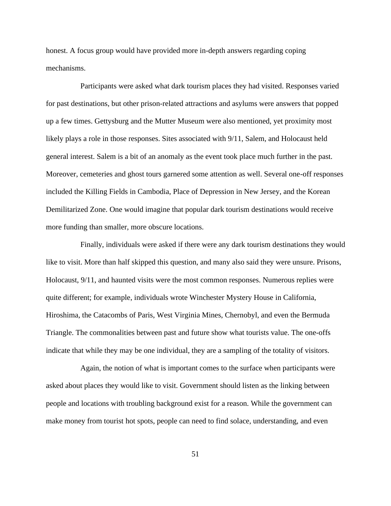honest. A focus group would have provided more in-depth answers regarding coping mechanisms.

Participants were asked what dark tourism places they had visited. Responses varied for past destinations, but other prison-related attractions and asylums were answers that popped up a few times. Gettysburg and the Mutter Museum were also mentioned, yet proximity most likely plays a role in those responses. Sites associated with 9/11, Salem, and Holocaust held general interest. Salem is a bit of an anomaly as the event took place much further in the past. Moreover, cemeteries and ghost tours garnered some attention as well. Several one-off responses included the Killing Fields in Cambodia, Place of Depression in New Jersey, and the Korean Demilitarized Zone. One would imagine that popular dark tourism destinations would receive more funding than smaller, more obscure locations.

Finally, individuals were asked if there were any dark tourism destinations they would like to visit. More than half skipped this question, and many also said they were unsure. Prisons, Holocaust, 9/11, and haunted visits were the most common responses. Numerous replies were quite different; for example, individuals wrote Winchester Mystery House in California, Hiroshima, the Catacombs of Paris, West Virginia Mines, Chernobyl, and even the Bermuda Triangle. The commonalities between past and future show what tourists value. The one-offs indicate that while they may be one individual, they are a sampling of the totality of visitors.

Again, the notion of what is important comes to the surface when participants were asked about places they would like to visit. Government should listen as the linking between people and locations with troubling background exist for a reason. While the government can make money from tourist hot spots, people can need to find solace, understanding, and even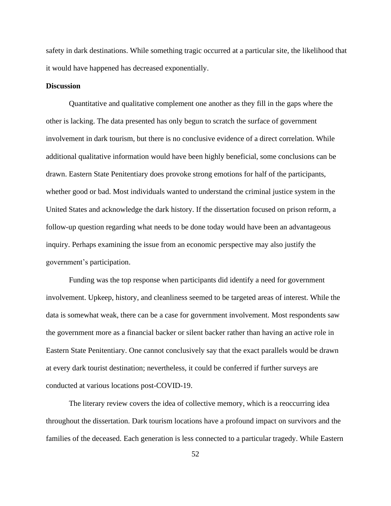safety in dark destinations. While something tragic occurred at a particular site, the likelihood that it would have happened has decreased exponentially.

#### **Discussion**

Quantitative and qualitative complement one another as they fill in the gaps where the other is lacking. The data presented has only begun to scratch the surface of government involvement in dark tourism, but there is no conclusive evidence of a direct correlation. While additional qualitative information would have been highly beneficial, some conclusions can be drawn. Eastern State Penitentiary does provoke strong emotions for half of the participants, whether good or bad. Most individuals wanted to understand the criminal justice system in the United States and acknowledge the dark history. If the dissertation focused on prison reform, a follow-up question regarding what needs to be done today would have been an advantageous inquiry. Perhaps examining the issue from an economic perspective may also justify the government's participation.

Funding was the top response when participants did identify a need for government involvement. Upkeep, history, and cleanliness seemed to be targeted areas of interest. While the data is somewhat weak, there can be a case for government involvement. Most respondents saw the government more as a financial backer or silent backer rather than having an active role in Eastern State Penitentiary. One cannot conclusively say that the exact parallels would be drawn at every dark tourist destination; nevertheless, it could be conferred if further surveys are conducted at various locations post-COVID-19.

The literary review covers the idea of collective memory, which is a reoccurring idea throughout the dissertation. Dark tourism locations have a profound impact on survivors and the families of the deceased. Each generation is less connected to a particular tragedy. While Eastern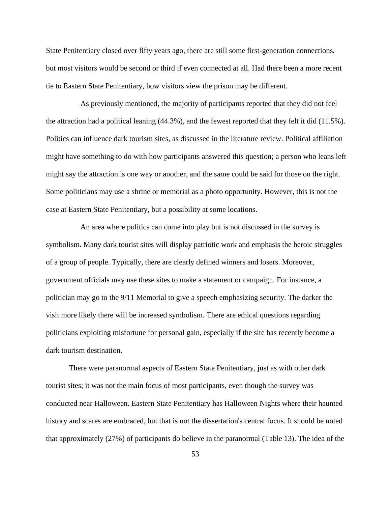State Penitentiary closed over fifty years ago, there are still some first-generation connections, but most visitors would be second or third if even connected at all. Had there been a more recent tie to Eastern State Penitentiary, how visitors view the prison may be different.

As previously mentioned, the majority of participants reported that they did not feel the attraction had a political leaning (44.3%), and the fewest reported that they felt it did (11.5%). Politics can influence dark tourism sites, as discussed in the literature review. Political affiliation might have something to do with how participants answered this question; a person who leans left might say the attraction is one way or another, and the same could be said for those on the right. Some politicians may use a shrine or memorial as a photo opportunity. However, this is not the case at Eastern State Penitentiary, but a possibility at some locations.

An area where politics can come into play but is not discussed in the survey is symbolism. Many dark tourist sites will display patriotic work and emphasis the heroic struggles of a group of people. Typically, there are clearly defined winners and losers. Moreover, government officials may use these sites to make a statement or campaign. For instance, a politician may go to the 9/11 Memorial to give a speech emphasizing security. The darker the visit more likely there will be increased symbolism. There are ethical questions regarding politicians exploiting misfortune for personal gain, especially if the site has recently become a dark tourism destination.

There were paranormal aspects of Eastern State Penitentiary, just as with other dark tourist sites; it was not the main focus of most participants, even though the survey was conducted near Halloween. Eastern State Penitentiary has Halloween Nights where their haunted history and scares are embraced, but that is not the dissertation's central focus. It should be noted that approximately (27%) of participants do believe in the paranormal (Table 13). The idea of the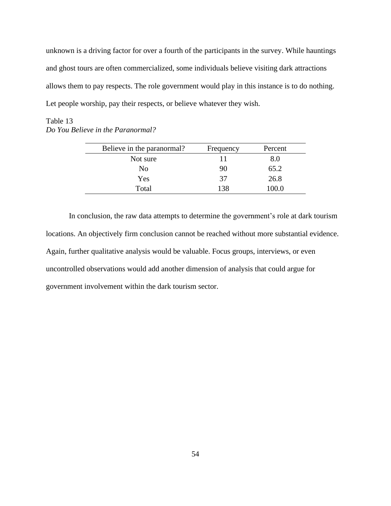unknown is a driving factor for over a fourth of the participants in the survey. While hauntings and ghost tours are often commercialized, some individuals believe visiting dark attractions allows them to pay respects. The role government would play in this instance is to do nothing. Let people worship, pay their respects, or believe whatever they wish.

# Table 13 *Do You Believe in the Paranormal?*

| Believe in the paranormal? | Frequency | Percent |
|----------------------------|-----------|---------|
| Not sure                   | 11        | 8.0     |
| No                         | 90        | 65.2    |
| Yes                        | 37        | 26.8    |
| Total                      | 138       | l00.0   |

In conclusion, the raw data attempts to determine the government's role at dark tourism locations. An objectively firm conclusion cannot be reached without more substantial evidence. Again, further qualitative analysis would be valuable. Focus groups, interviews, or even uncontrolled observations would add another dimension of analysis that could argue for government involvement within the dark tourism sector.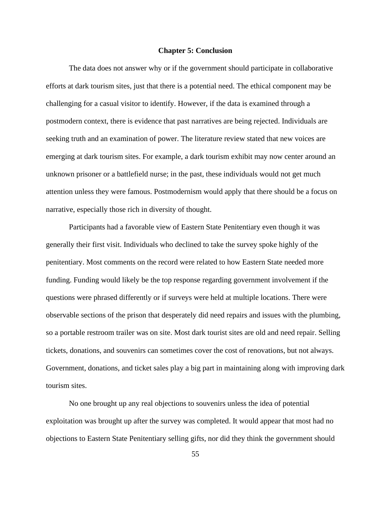#### **Chapter 5: Conclusion**

The data does not answer why or if the government should participate in collaborative efforts at dark tourism sites, just that there is a potential need. The ethical component may be challenging for a casual visitor to identify. However, if the data is examined through a postmodern context, there is evidence that past narratives are being rejected. Individuals are seeking truth and an examination of power. The literature review stated that new voices are emerging at dark tourism sites. For example, a dark tourism exhibit may now center around an unknown prisoner or a battlefield nurse; in the past, these individuals would not get much attention unless they were famous. Postmodernism would apply that there should be a focus on narrative, especially those rich in diversity of thought.

Participants had a favorable view of Eastern State Penitentiary even though it was generally their first visit. Individuals who declined to take the survey spoke highly of the penitentiary. Most comments on the record were related to how Eastern State needed more funding. Funding would likely be the top response regarding government involvement if the questions were phrased differently or if surveys were held at multiple locations. There were observable sections of the prison that desperately did need repairs and issues with the plumbing, so a portable restroom trailer was on site. Most dark tourist sites are old and need repair. Selling tickets, donations, and souvenirs can sometimes cover the cost of renovations, but not always. Government, donations, and ticket sales play a big part in maintaining along with improving dark tourism sites.

No one brought up any real objections to souvenirs unless the idea of potential exploitation was brought up after the survey was completed. It would appear that most had no objections to Eastern State Penitentiary selling gifts, nor did they think the government should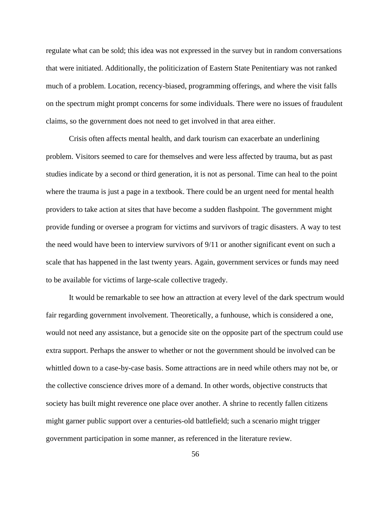regulate what can be sold; this idea was not expressed in the survey but in random conversations that were initiated. Additionally, the politicization of Eastern State Penitentiary was not ranked much of a problem. Location, recency-biased, programming offerings, and where the visit falls on the spectrum might prompt concerns for some individuals. There were no issues of fraudulent claims, so the government does not need to get involved in that area either.

Crisis often affects mental health, and dark tourism can exacerbate an underlining problem. Visitors seemed to care for themselves and were less affected by trauma, but as past studies indicate by a second or third generation, it is not as personal. Time can heal to the point where the trauma is just a page in a textbook. There could be an urgent need for mental health providers to take action at sites that have become a sudden flashpoint. The government might provide funding or oversee a program for victims and survivors of tragic disasters. A way to test the need would have been to interview survivors of 9/11 or another significant event on such a scale that has happened in the last twenty years. Again, government services or funds may need to be available for victims of large-scale collective tragedy.

It would be remarkable to see how an attraction at every level of the dark spectrum would fair regarding government involvement. Theoretically, a funhouse, which is considered a one, would not need any assistance, but a genocide site on the opposite part of the spectrum could use extra support. Perhaps the answer to whether or not the government should be involved can be whittled down to a case-by-case basis. Some attractions are in need while others may not be, or the collective conscience drives more of a demand. In other words, objective constructs that society has built might reverence one place over another. A shrine to recently fallen citizens might garner public support over a centuries-old battlefield; such a scenario might trigger government participation in some manner, as referenced in the literature review.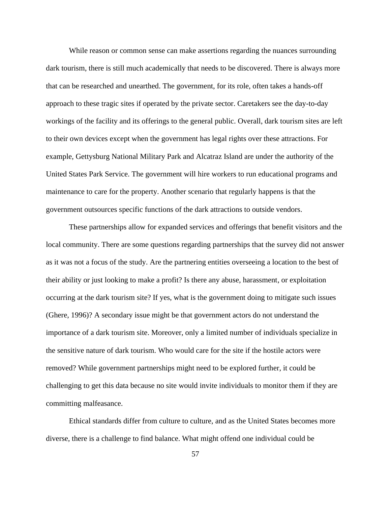While reason or common sense can make assertions regarding the nuances surrounding dark tourism, there is still much academically that needs to be discovered. There is always more that can be researched and unearthed. The government, for its role, often takes a hands-off approach to these tragic sites if operated by the private sector. Caretakers see the day-to-day workings of the facility and its offerings to the general public. Overall, dark tourism sites are left to their own devices except when the government has legal rights over these attractions. For example, Gettysburg National Military Park and Alcatraz Island are under the authority of the United States Park Service. The government will hire workers to run educational programs and maintenance to care for the property. Another scenario that regularly happens is that the government outsources specific functions of the dark attractions to outside vendors.

These partnerships allow for expanded services and offerings that benefit visitors and the local community. There are some questions regarding partnerships that the survey did not answer as it was not a focus of the study. Are the partnering entities overseeing a location to the best of their ability or just looking to make a profit? Is there any abuse, harassment, or exploitation occurring at the dark tourism site? If yes, what is the government doing to mitigate such issues (Ghere, 1996)? A secondary issue might be that government actors do not understand the importance of a dark tourism site. Moreover, only a limited number of individuals specialize in the sensitive nature of dark tourism. Who would care for the site if the hostile actors were removed? While government partnerships might need to be explored further, it could be challenging to get this data because no site would invite individuals to monitor them if they are committing malfeasance.

Ethical standards differ from culture to culture, and as the United States becomes more diverse, there is a challenge to find balance. What might offend one individual could be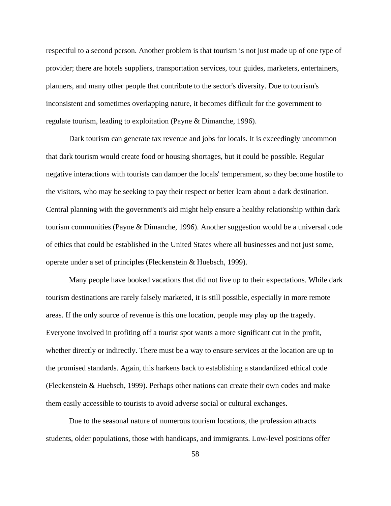respectful to a second person. Another problem is that tourism is not just made up of one type of provider; there are hotels suppliers, transportation services, tour guides, marketers, entertainers, planners, and many other people that contribute to the sector's diversity. Due to tourism's inconsistent and sometimes overlapping nature, it becomes difficult for the government to regulate tourism, leading to exploitation (Payne & Dimanche, 1996).

Dark tourism can generate tax revenue and jobs for locals. It is exceedingly uncommon that dark tourism would create food or housing shortages, but it could be possible. Regular negative interactions with tourists can damper the locals' temperament, so they become hostile to the visitors, who may be seeking to pay their respect or better learn about a dark destination. Central planning with the government's aid might help ensure a healthy relationship within dark tourism communities (Payne & Dimanche, 1996). Another suggestion would be a universal code of ethics that could be established in the United States where all businesses and not just some, operate under a set of principles (Fleckenstein & Huebsch, 1999).

Many people have booked vacations that did not live up to their expectations. While dark tourism destinations are rarely falsely marketed, it is still possible, especially in more remote areas. If the only source of revenue is this one location, people may play up the tragedy. Everyone involved in profiting off a tourist spot wants a more significant cut in the profit, whether directly or indirectly. There must be a way to ensure services at the location are up to the promised standards. Again, this harkens back to establishing a standardized ethical code (Fleckenstein & Huebsch, 1999). Perhaps other nations can create their own codes and make them easily accessible to tourists to avoid adverse social or cultural exchanges.

Due to the seasonal nature of numerous tourism locations, the profession attracts students, older populations, those with handicaps, and immigrants. Low-level positions offer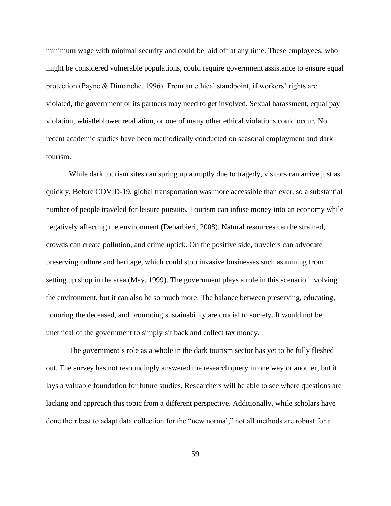minimum wage with minimal security and could be laid off at any time. These employees, who might be considered vulnerable populations, could require government assistance to ensure equal protection (Payne & Dimanche, 1996). From an ethical standpoint, if workers' rights are violated, the government or its partners may need to get involved. Sexual harassment, equal pay violation, whistleblower retaliation, or one of many other ethical violations could occur. No recent academic studies have been methodically conducted on seasonal employment and dark tourism.

While dark tourism sites can spring up abruptly due to tragedy, visitors can arrive just as quickly. Before COVID-19, global transportation was more accessible than ever, so a substantial number of people traveled for leisure pursuits. Tourism can infuse money into an economy while negatively affecting the environment (Debarbieri, 2008). Natural resources can be strained, crowds can create pollution, and crime uptick. On the positive side, travelers can advocate preserving culture and heritage, which could stop invasive businesses such as mining from setting up shop in the area (May, 1999). The government plays a role in this scenario involving the environment, but it can also be so much more. The balance between preserving, educating, honoring the deceased, and promoting sustainability are crucial to society. It would not be unethical of the government to simply sit back and collect tax money.

The government's role as a whole in the dark tourism sector has yet to be fully fleshed out. The survey has not resoundingly answered the research query in one way or another, but it lays a valuable foundation for future studies. Researchers will be able to see where questions are lacking and approach this topic from a different perspective. Additionally, while scholars have done their best to adapt data collection for the "new normal," not all methods are robust for a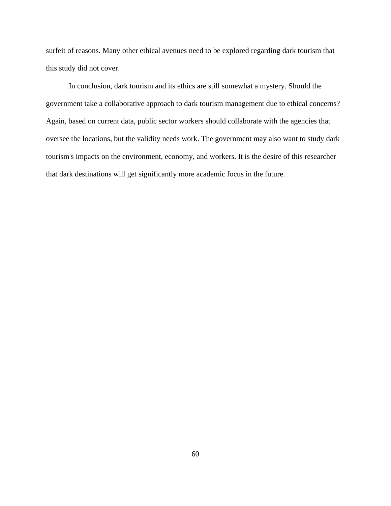surfeit of reasons. Many other ethical avenues need to be explored regarding dark tourism that this study did not cover.

In conclusion, dark tourism and its ethics are still somewhat a mystery. Should the government take a collaborative approach to dark tourism management due to ethical concerns? Again, based on current data, public sector workers should collaborate with the agencies that oversee the locations, but the validity needs work. The government may also want to study dark tourism's impacts on the environment, economy, and workers. It is the desire of this researcher that dark destinations will get significantly more academic focus in the future.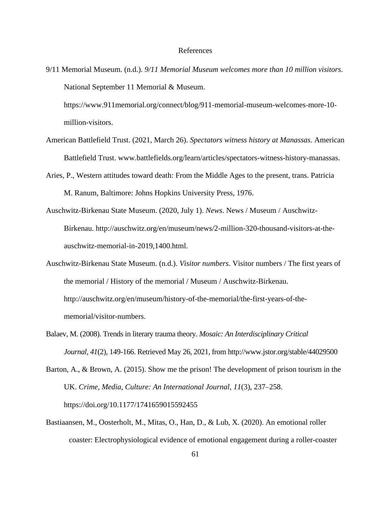#### References

9/11 Memorial Museum. (n.d.). *9/11 Memorial Museum welcomes more than 10 million visitors*. National September 11 Memorial & Museum.

https://www.911memorial.org/connect/blog/911-memorial-museum-welcomes-more-10 million-visitors.

- American Battlefield Trust. (2021, March 26). *Spectators witness history at Manassas*. American Battlefield Trust. www.battlefields.org/learn/articles/spectators-witness-history-manassas.
- Aries, P., Western attitudes toward death: From the Middle Ages to the present, trans. Patricia M. Ranum, Baltimore: Johns Hopkins University Press, 1976.
- Auschwitz-Birkenau State Museum. (2020, July 1). *News*. News / Museum / Auschwitz-Birkenau. http://auschwitz.org/en/museum/news/2-million-320-thousand-visitors-at-theauschwitz-memorial-in-2019,1400.html.
- Auschwitz-Birkenau State Museum. (n.d.). *Visitor numbers*. Visitor numbers / The first years of the memorial / History of the memorial / Museum / Auschwitz-Birkenau. http://auschwitz.org/en/museum/history-of-the-memorial/the-first-years-of-thememorial/visitor-numbers.
- Balaev, M. (2008). Trends in literary trauma theory. *Mosaic: An Interdisciplinary Critical Journal, 41*(2), 149-166. Retrieved May 26, 2021, from http://www.jstor.org/stable/44029500

Barton, A., & Brown, A. (2015). Show me the prison! The development of prison tourism in the UK. *Crime, Media, Culture: An International Journal*, *11*(3), 237–258. https://doi.org/10.1177/1741659015592455

Bastiaansen, M., Oosterholt, M., Mitas, O., Han, D., & Lub, X. (2020). An emotional roller coaster: Electrophysiological evidence of emotional engagement during a roller-coaster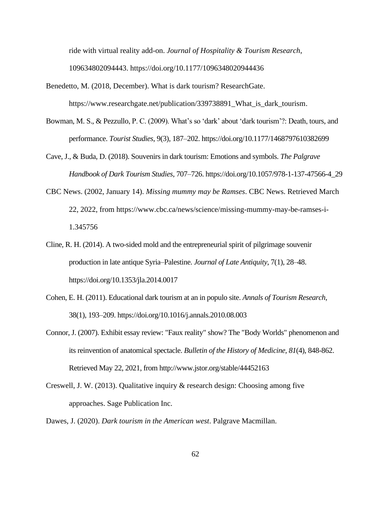ride with virtual reality add-on. *Journal of Hospitality & Tourism Research*, 109634802094443. https://doi.org/10.1177/1096348020944436

- Benedetto, M. (2018, December). What is dark tourism? ResearchGate. https://www.researchgate.net/publication/339738891\_What\_is\_dark\_tourism.
- Bowman, M. S., & Pezzullo, P. C. (2009). What's so 'dark' about 'dark tourism'?: Death, tours, and performance. *Tourist Studies*, 9(3), 187–202. https://doi.org/10.1177/1468797610382699
- Cave, J., & Buda, D. (2018). Souvenirs in dark tourism: Emotions and symbols. *The Palgrave Handbook of Dark Tourism Studies*, 707–726. https://doi.org/10.1057/978-1-137-47566-4\_29
- CBC News. (2002, January 14). *Missing mummy may be Ramses*. CBC News. Retrieved March 22, 2022, from https://www.cbc.ca/news/science/missing-mummy-may-be-ramses-i-1.345756
- Cline, R. H. (2014). A two-sided mold and the entrepreneurial spirit of pilgrimage souvenir production in late antique Syria–Palestine. *Journal of Late Antiquity*, 7(1), 28–48. https://doi.org/10.1353/jla.2014.0017
- Cohen, E. H. (2011). Educational dark tourism at an in populo site. *Annals of Tourism Research*, 38(1), 193–209. https://doi.org/10.1016/j.annals.2010.08.003
- Connor, J. (2007). Exhibit essay review: "Faux reality" show? The "Body Worlds" phenomenon and its reinvention of anatomical spectacle. *Bulletin of the History of Medicine, 81*(4), 848-862. Retrieved May 22, 2021, from http://www.jstor.org/stable/44452163
- Creswell, J. W. (2013). Qualitative inquiry & research design: Choosing among five approaches. Sage Publication Inc.
- Dawes, J. (2020). *Dark tourism in the American west*. Palgrave Macmillan.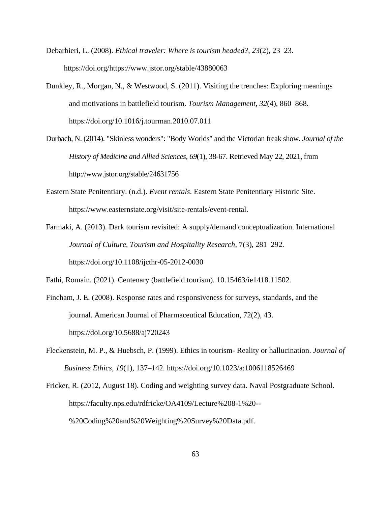- Debarbieri, L. (2008). *Ethical traveler: Where is tourism headed?*, *23*(2), 23–23. https://doi.org/https://www.jstor.org/stable/43880063
- Dunkley, R., Morgan, N., & Westwood, S. (2011). Visiting the trenches: Exploring meanings and motivations in battlefield tourism. *Tourism Management*, *32*(4), 860–868. https://doi.org/10.1016/j.tourman.2010.07.011
- Durbach, N. (2014). "Skinless wonders": "Body Worlds" and the Victorian freak show. *Journal of the History of Medicine and Allied Sciences, 69*(1), 38-67. Retrieved May 22, 2021, from http://www.jstor.org/stable/24631756
- Eastern State Penitentiary. (n.d.). *Event rentals*. Eastern State Penitentiary Historic Site. https://www.easternstate.org/visit/site-rentals/event-rental.
- Farmaki, A. (2013). Dark tourism revisited: A supply/demand conceptualization. International *Journal of Culture, Tourism and Hospitality Research*, 7(3), 281–292. https://doi.org/10.1108/ijcthr-05-2012-0030
- Fathi, Romain. (2021). Centenary (battlefield tourism). 10.15463/ie1418.11502.
- Fincham, J. E. (2008). Response rates and responsiveness for surveys, standards, and the journal. American Journal of Pharmaceutical Education, 72(2), 43. https://doi.org/10.5688/aj720243
- Fleckenstein, M. P., & Huebsch, P. (1999). Ethics in tourism- Reality or hallucination. *Journal of Business Ethics*, *19*(1), 137–142. https://doi.org/10.1023/a:1006118526469
- Fricker, R. (2012, August 18). Coding and weighting survey data. Naval Postgraduate School. https://faculty.nps.edu/rdfricke/OA4109/Lecture%208-1%20-- %20Coding%20and%20Weighting%20Survey%20Data.pdf.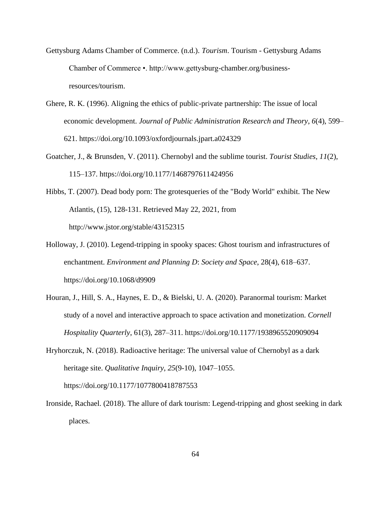- Gettysburg Adams Chamber of Commerce. (n.d.). *Tourism*. Tourism Gettysburg Adams Chamber of Commerce •. http://www.gettysburg-chamber.org/businessresources/tourism.
- Ghere, R. K. (1996). Aligning the ethics of public-private partnership: The issue of local economic development. *Journal of Public Administration Research and Theory*, *6*(4), 599– 621. https://doi.org/10.1093/oxfordjournals.jpart.a024329
- Goatcher, J., & Brunsden, V. (2011). Chernobyl and the sublime tourist. *Tourist Studies*, *11*(2), 115–137. https://doi.org/10.1177/1468797611424956
- Hibbs, T. (2007). Dead body porn: The grotesqueries of the "Body World" exhibit. The New Atlantis, (15), 128-131. Retrieved May 22, 2021, from http://www.jstor.org/stable/43152315
- Holloway, J. (2010). Legend-tripping in spooky spaces: Ghost tourism and infrastructures of enchantment. *Environment and Planning D*: *Society and Space*, 28(4), 618–637. https://doi.org/10.1068/d9909
- Houran, J., Hill, S. A., Haynes, E. D., & Bielski, U. A. (2020). Paranormal tourism: Market study of a novel and interactive approach to space activation and monetization. *Cornell Hospitality Quarterly*, 61(3), 287–311. https://doi.org/10.1177/1938965520909094
- Hryhorczuk, N. (2018). Radioactive heritage: The universal value of Chernobyl as a dark heritage site. *Qualitative Inquiry*, *25*(9-10), 1047–1055. https://doi.org/10.1177/1077800418787553
- Ironside, Rachael. (2018). The allure of dark tourism: Legend-tripping and ghost seeking in dark places.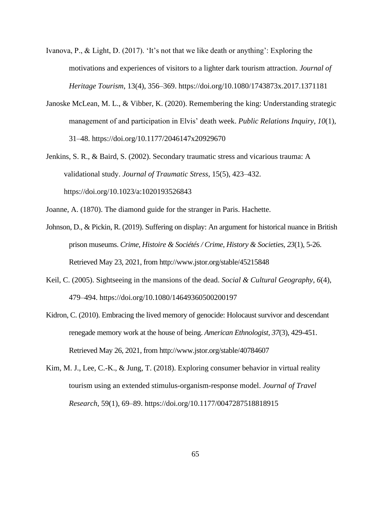- Ivanova, P., & Light, D. (2017). 'It's not that we like death or anything': Exploring the motivations and experiences of visitors to a lighter dark tourism attraction. *Journal of Heritage Tourism*, 13(4), 356–369. https://doi.org/10.1080/1743873x.2017.1371181
- Janoske McLean, M. L., & Vibber, K. (2020). Remembering the king: Understanding strategic management of and participation in Elvis' death week. *Public Relations Inquiry*, *10*(1), 31–48. https://doi.org/10.1177/2046147x20929670
- Jenkins, S. R., & Baird, S. (2002). Secondary traumatic stress and vicarious trauma: A validational study. *Journal of Traumatic Stress*, 15(5), 423–432. https://doi.org/10.1023/a:1020193526843
- Joanne, A. (1870). The diamond guide for the stranger in Paris. Hachette.
- Johnson, D., & Pickin, R. (2019). Suffering on display: An argument for historical nuance in British prison museums. *Crime, Histoire & Sociétés / Crime, History & Societies, 23*(1), 5-26. Retrieved May 23, 2021, from http://www.jstor.org/stable/45215848
- Keil, C. (2005). Sightseeing in the mansions of the dead. *Social & Cultural Geography*, *6*(4), 479–494. https://doi.org/10.1080/14649360500200197
- Kidron, C. (2010). Embracing the lived memory of genocide: Holocaust survivor and descendant renegade memory work at the house of being. *American Ethnologist, 37*(3), 429-451. Retrieved May 26, 2021, from http://www.jstor.org/stable/40784607
- Kim, M. J., Lee, C.-K., & Jung, T. (2018). Exploring consumer behavior in virtual reality tourism using an extended stimulus-organism-response model. *Journal of Travel Research*, 59(1), 69–89. https://doi.org/10.1177/0047287518818915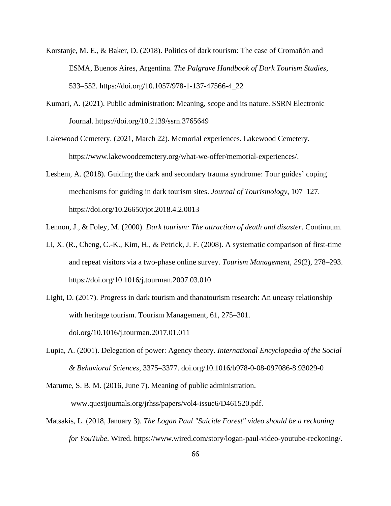- Korstanje, M. E., & Baker, D. (2018). Politics of dark tourism: The case of Cromañón and ESMA, Buenos Aires, Argentina. *The Palgrave Handbook of Dark Tourism Studies*, 533–552. https://doi.org/10.1057/978-1-137-47566-4\_22
- Kumari, A. (2021). Public administration: Meaning, scope and its nature. SSRN Electronic Journal. https://doi.org/10.2139/ssrn.3765649
- Lakewood Cemetery. (2021, March 22). Memorial experiences. Lakewood Cemetery. https://www.lakewoodcemetery.org/what-we-offer/memorial-experiences/.
- Leshem, A. (2018). Guiding the dark and secondary trauma syndrome: Tour guides' coping mechanisms for guiding in dark tourism sites. *Journal of Tourismology*, 107–127. https://doi.org/10.26650/jot.2018.4.2.0013

Lennon, J., & Foley, M. (2000). *Dark tourism: The attraction of death and disaster*. Continuum.

- Li, X. (R., Cheng, C.-K., Kim, H., & Petrick, J. F. (2008). A systematic comparison of first-time and repeat visitors via a two-phase online survey. *Tourism Management*, *29*(2), 278–293. https://doi.org/10.1016/j.tourman.2007.03.010
- Light, D. (2017). Progress in dark tourism and thanatourism research: An uneasy relationship with heritage tourism. Tourism Management, 61, 275–301. doi.org/10.1016/j.tourman.2017.01.011
- Lupia, A. (2001). Delegation of power: Agency theory. *International Encyclopedia of the Social & Behavioral Sciences*, 3375–3377. doi.org/10.1016/b978-0-08-097086-8.93029-0

Marume, S. B. M. (2016, June 7). Meaning of public administration. www.questjournals.org/jrhss/papers/vol4-issue6/D461520.pdf.

Matsakis, L. (2018, January 3). *The Logan Paul "Suicide Forest" video should be a reckoning for YouTube*. Wired. https://www.wired.com/story/logan-paul-video-youtube-reckoning/.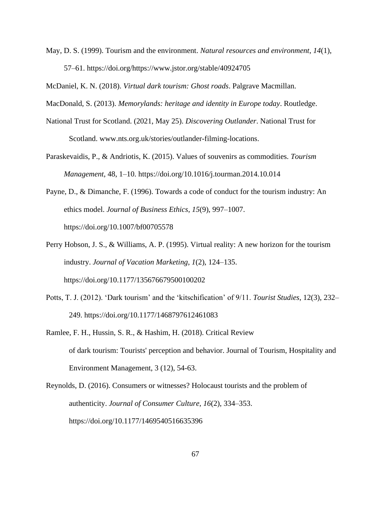May, D. S. (1999). Tourism and the environment. *Natural resources and environment*, *14*(1), 57–61. https://doi.org/https://www.jstor.org/stable/40924705

McDaniel, K. N. (2018). *Virtual dark tourism: Ghost roads*. Palgrave Macmillan.

MacDonald, S. (2013). *Memorylands: heritage and identity in Europe today*. Routledge.

- National Trust for Scotland. (2021, May 25). *Discovering Outlander*. National Trust for Scotland. www.nts.org.uk/stories/outlander-filming-locations.
- Paraskevaidis, P., & Andriotis, K. (2015). Values of souvenirs as commodities. *Tourism Management*, 48, 1–10. https://doi.org/10.1016/j.tourman.2014.10.014
- Payne, D., & Dimanche, F. (1996). Towards a code of conduct for the tourism industry: An ethics model. *Journal of Business Ethics*, *15*(9), 997–1007. https://doi.org/10.1007/bf00705578
- Perry Hobson, J. S., & Williams, A. P. (1995). Virtual reality: A new horizon for the tourism industry. *Journal of Vacation Marketing*, *1*(2), 124–135. https://doi.org/10.1177/135676679500100202
- Potts, T. J. (2012). 'Dark tourism' and the 'kitschification' of 9/11. *Tourist Studies*, 12(3), 232– 249. https://doi.org/10.1177/1468797612461083
- Ramlee, F. H., Hussin, S. R., & Hashim, H. (2018). Critical Review of dark tourism: Tourists' perception and behavior. Journal of Tourism, Hospitality and Environment Management, 3 (12), 54-63.
- Reynolds, D. (2016). Consumers or witnesses? Holocaust tourists and the problem of authenticity. *Journal of Consumer Culture*, *16*(2), 334–353. https://doi.org/10.1177/1469540516635396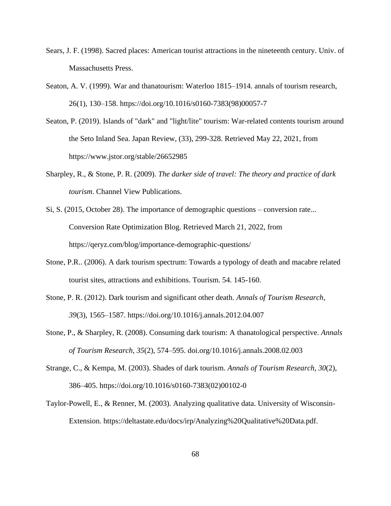- Sears, J. F. (1998). Sacred places: American tourist attractions in the nineteenth century. Univ. of Massachusetts Press.
- Seaton, A. V. (1999). War and thanatourism: Waterloo 1815–1914. annals of tourism research, 26(1), 130–158. https://doi.org/10.1016/s0160-7383(98)00057-7
- Seaton, P. (2019). Islands of "dark" and "light/lite" tourism: War-related contents tourism around the Seto Inland Sea. Japan Review, (33), 299-328. Retrieved May 22, 2021, from https://www.jstor.org/stable/26652985
- Sharpley, R., & Stone, P. R. (2009). *The darker side of travel: The theory and practice of dark tourism*. Channel View Publications.
- Si, S. (2015, October 28). The importance of demographic questions conversion rate... Conversion Rate Optimization Blog. Retrieved March 21, 2022, from https://qeryz.com/blog/importance-demographic-questions/
- Stone, P.R.. (2006). A dark tourism spectrum: Towards a typology of death and macabre related tourist sites, attractions and exhibitions. Tourism. 54. 145-160.
- Stone, P. R. (2012). Dark tourism and significant other death. *Annals of Tourism Research*, *39*(3), 1565–1587. https://doi.org/10.1016/j.annals.2012.04.007
- Stone, P., & Sharpley, R. (2008). Consuming dark tourism: A thanatological perspective. *Annals of Tourism Research*, *35*(2), 574–595. doi.org/10.1016/j.annals.2008.02.003
- Strange, C., & Kempa, M. (2003). Shades of dark tourism. *Annals of Tourism Research*, *30*(2), 386–405. https://doi.org/10.1016/s0160-7383(02)00102-0
- Taylor-Powell, E., & Renner, M. (2003). Analyzing qualitative data. University of Wisconsin-Extension. https://deltastate.edu/docs/irp/Analyzing%20Qualitative%20Data.pdf.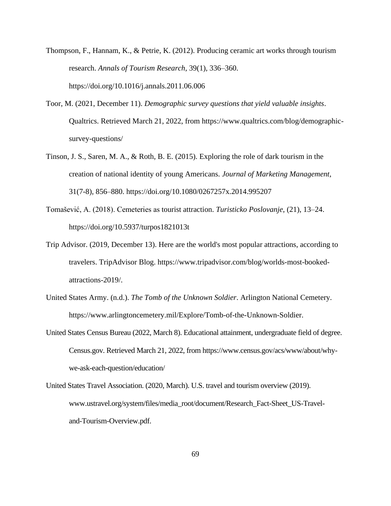- Thompson, F., Hannam, K., & Petrie, K. (2012). Producing ceramic art works through tourism research. *Annals of Tourism Research*, 39(1), 336–360. https://doi.org/10.1016/j.annals.2011.06.006
- Toor, M. (2021, December 11). *Demographic survey questions that yield valuable insights*. Qualtrics. Retrieved March 21, 2022, from https://www.qualtrics.com/blog/demographicsurvey-questions/
- Tinson, J. S., Saren, M. A., & Roth, B. E. (2015). Exploring the role of dark tourism in the creation of national identity of young Americans. *Journal of Marketing Management*, 31(7-8), 856–880. https://doi.org/10.1080/0267257x.2014.995207
- Tomašević, A. (2018). Cemeteries as tourist attraction. *Turisticko Poslovanje*, (21), 13–24. https://doi.org/10.5937/turpos1821013t
- Trip Advisor. (2019, December 13). Here are the world's most popular attractions, according to travelers. TripAdvisor Blog. https://www.tripadvisor.com/blog/worlds-most-bookedattractions-2019/.
- United States Army. (n.d.). *The Tomb of the Unknown Soldier*. Arlington National Cemetery. https://www.arlingtoncemetery.mil/Explore/Tomb-of-the-Unknown-Soldier.
- United States Census Bureau (2022, March 8). Educational attainment, undergraduate field of degree. Census.gov. Retrieved March 21, 2022, from https://www.census.gov/acs/www/about/whywe-ask-each-question/education/
- United States Travel Association. (2020, March). U.S. travel and tourism overview (2019). www.ustravel.org/system/files/media\_root/document/Research\_Fact-Sheet\_US-Traveland-Tourism-Overview.pdf.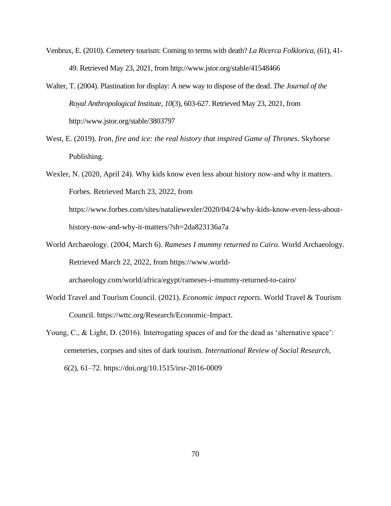- Venbrux, E. (2010). Cemetery tourism: Coming to terms with death? *La Ricerca Folklorica,* (61), 41- 49. Retrieved May 23, 2021, from http://www.jstor.org/stable/41548466
- Walter, T. (2004). Plastination for display: A new way to dispose of the dead. *The Journal of the Royal Anthropological Institute, 10*(3), 603-627. Retrieved May 23, 2021, from http://www.jstor.org/stable/3803797
- West, E. (2019). *Iron, fire and ice: the real history that inspired Game of Thrones*. Skyhorse Publishing.

Wexler, N. (2020, April 24). Why kids know even less about history now-and why it matters. Forbes. Retrieved March 23, 2022, from https://www.forbes.com/sites/nataliewexler/2020/04/24/why-kids-know-even-less-abouthistory-now-and-why-it-matters/?sh=2da823136a7a

- World Archaeology. (2004, March 6). *Rameses I mummy returned to Cairo*. World Archaeology. Retrieved March 22, 2022, from https://www.worldarchaeology.com/world/africa/egypt/rameses-i-mummy-returned-to-cairo/
- World Travel and Tourism Council. (2021). *Economic impact reports*. World Travel & Tourism Council. https://wttc.org/Research/Economic-Impact.
- Young, C., & Light, D. (2016). Interrogating spaces of and for the dead as 'alternative space': cemeteries, corpses and sites of dark tourism. *International Review of Social Research*, *6*(2), 61–72. https://doi.org/10.1515/irsr-2016-0009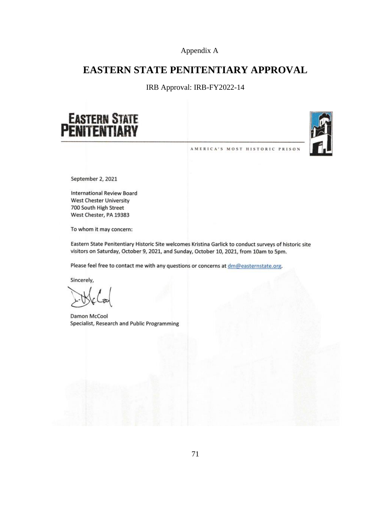Appendix A

### **EASTERN STATE PENITENTIARY APPROVAL**

IRB Approval: IRB-FY2022-14





AMERICA'S MOST HISTORIC PRISON

September 2, 2021

**International Review Board West Chester University** 700 South High Street West Chester, PA 19383

To whom it may concern:

Eastern State Penitentiary Historic Site welcomes Kristina Garlick to conduct surveys of historic site visitors on Saturday, October 9, 2021, and Sunday, October 10, 2021, from 10am to 5pm.

Please feel free to contact me with any questions or concerns at dm@easternstate.org.

Sincerely,

Damon McCool Specialist, Research and Public Programming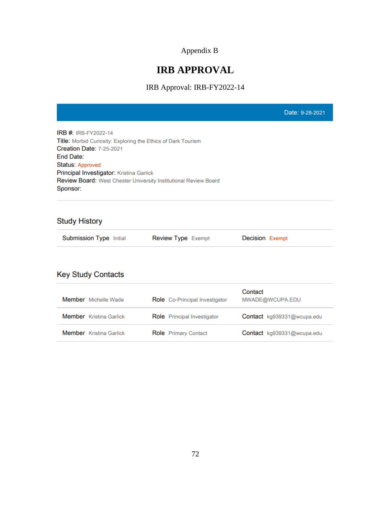## Appendix B

# **IRB APPROVAL**

IRB Approval: IRB-FY2022-14

|                                                                                                                                                                                                                                                                                                            |                                | Date: 9-28-2021            |
|------------------------------------------------------------------------------------------------------------------------------------------------------------------------------------------------------------------------------------------------------------------------------------------------------------|--------------------------------|----------------------------|
| <b>IRB #: IRB-FY2022-14</b><br>Title: Morbid Curiosity: Exploring the Ethics of Dark Tourism<br><b>Creation Date: 7-25-2021</b><br><b>End Date:</b><br><b>Status: Approved</b><br>Principal Investigator: Kristina Garlick<br>Review Board: West Chester University Institutional Review Board<br>Sponsor: |                                |                            |
| <b>Study History</b>                                                                                                                                                                                                                                                                                       |                                |                            |
| Submission Type Initial                                                                                                                                                                                                                                                                                    | <b>Review Type Exempt</b>      | <b>Decision Exempt</b>     |
| <b>Key Study Contacts</b>                                                                                                                                                                                                                                                                                  |                                |                            |
| Member Michelle Wade                                                                                                                                                                                                                                                                                       | Role Co-Principal Investigator | Contact<br>MWADE@WCUPA.EDU |
| Member Kristina Garlick                                                                                                                                                                                                                                                                                    | Role Principal Investigator    | Contact kg939331@wcupa.edu |
| <b>Member</b> Kristina Garlick                                                                                                                                                                                                                                                                             | <b>Role</b> Primary Contact    | Contact kg939331@wcupa.edu |
|                                                                                                                                                                                                                                                                                                            |                                |                            |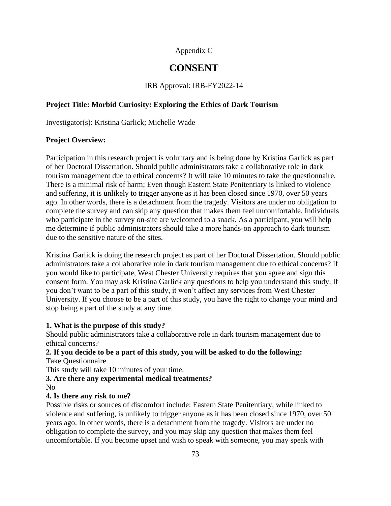#### Appendix C

### **CONSENT**

IRB Approval: IRB-FY2022-14

#### **Project Title: Morbid Curiosity: Exploring the Ethics of Dark Tourism**

Investigator(s): Kristina Garlick; Michelle Wade

#### **Project Overview:**

Participation in this research project is voluntary and is being done by Kristina Garlick as part of her Doctoral Dissertation. Should public administrators take a collaborative role in dark tourism management due to ethical concerns? It will take 10 minutes to take the questionnaire. There is a minimal risk of harm; Even though Eastern State Penitentiary is linked to violence and suffering, it is unlikely to trigger anyone as it has been closed since 1970, over 50 years ago. In other words, there is a detachment from the tragedy. Visitors are under no obligation to complete the survey and can skip any question that makes them feel uncomfortable. Individuals who participate in the survey on-site are welcomed to a snack. As a participant, you will help me determine if public administrators should take a more hands-on approach to dark tourism due to the sensitive nature of the sites.

Kristina Garlick is doing the research project as part of her Doctoral Dissertation. Should public administrators take a collaborative role in dark tourism management due to ethical concerns? If you would like to participate, West Chester University requires that you agree and sign this consent form. You may ask Kristina Garlick any questions to help you understand this study. If you don't want to be a part of this study, it won't affect any services from West Chester University. If you choose to be a part of this study, you have the right to change your mind and stop being a part of the study at any time.

#### **1. What is the purpose of this study?**

Should public administrators take a collaborative role in dark tourism management due to ethical concerns?

#### **2. If you decide to be a part of this study, you will be asked to do the following:** Take Questionnaire

This study will take 10 minutes of your time.

#### **3. Are there any experimental medical treatments?** No

#### **4. Is there any risk to me?**

Possible risks or sources of discomfort include: Eastern State Penitentiary, while linked to violence and suffering, is unlikely to trigger anyone as it has been closed since 1970, over 50 years ago. In other words, there is a detachment from the tragedy. Visitors are under no obligation to complete the survey, and you may skip any question that makes them feel uncomfortable. If you become upset and wish to speak with someone, you may speak with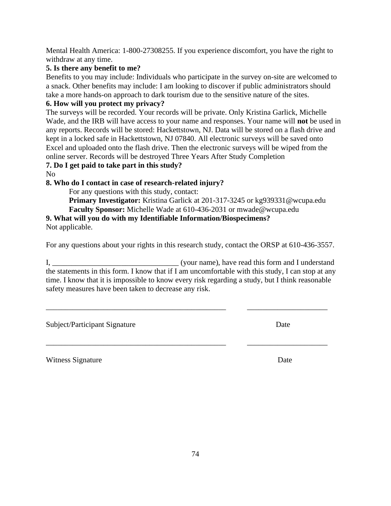Mental Health America: 1-800-27308255. If you experience discomfort, you have the right to withdraw at any time.

#### **5. Is there any benefit to me?**

Benefits to you may include: Individuals who participate in the survey on-site are welcomed to a snack. Other benefits may include: I am looking to discover if public administrators should take a more hands-on approach to dark tourism due to the sensitive nature of the sites.

#### **6. How will you protect my privacy?**

The surveys will be recorded. Your records will be private. Only Kristina Garlick, Michelle Wade, and the IRB will have access to your name and responses. Your name will **not** be used in any reports. Records will be stored: Hackettstown, NJ. Data will be stored on a flash drive and kept in a locked safe in Hackettstown, NJ 07840. All electronic surveys will be saved onto Excel and uploaded onto the flash drive. Then the electronic surveys will be wiped from the online server. Records will be destroyed Three Years After Study Completion

#### **7. Do I get paid to take part in this study?**

No

#### **8. Who do I contact in case of research-related injury?**

For any questions with this study, contact:

**Primary Investigator:** Kristina Garlick at 201-317-3245 or kg939331@wcupa.edu **Faculty Sponsor:** Michelle Wade at 610-436-2031 or mwade@wcupa.edu

# **9. What will you do with my Identifiable Information/Biospecimens?**

Not applicable.

For any questions about your rights in this research study, contact the ORSP at 610-436-3557.

I, \_\_\_\_\_\_\_\_\_\_\_\_\_\_\_\_\_\_\_\_\_\_\_\_\_\_\_\_\_\_\_\_\_ (your name), have read this form and I understand the statements in this form. I know that if I am uncomfortable with this study, I can stop at any time. I know that it is impossible to know every risk regarding a study, but I think reasonable safety measures have been taken to decrease any risk.

\_\_\_\_\_\_\_\_\_\_\_\_\_\_\_\_\_\_\_\_\_\_\_\_\_\_\_\_\_\_\_\_\_\_\_\_\_\_\_\_\_\_\_\_\_\_\_ \_\_\_\_\_\_\_\_\_\_\_\_\_\_\_\_\_\_\_\_\_

\_\_\_\_\_\_\_\_\_\_\_\_\_\_\_\_\_\_\_\_\_\_\_\_\_\_\_\_\_\_\_\_\_\_\_\_\_\_\_\_\_\_\_\_\_\_\_ \_\_\_\_\_\_\_\_\_\_\_\_\_\_\_\_\_\_\_\_\_

Subject/Participant Signature Date

Witness Signature Date **Date**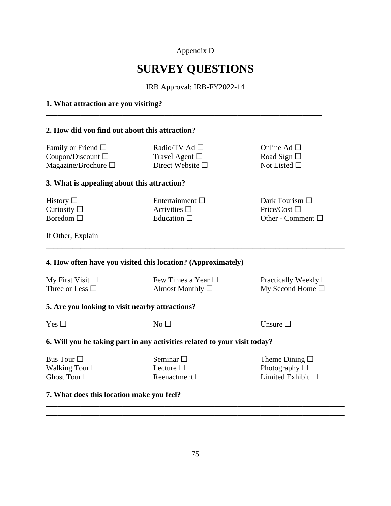Appendix D

# **SURVEY QUESTIONS**

IRB Approval: IRB-FY2022-14

#### **1. What attraction are you visiting?**

#### **2. How did you find out about this attraction?**

Family or Friend  $\square$ Coupon/Discount Magazine/Brochure

Radio/TV Ad Travel Agent  $\Box$ Direct Website  $\square$ 

**\_\_\_\_\_\_\_\_\_\_\_\_\_\_\_\_\_\_\_\_\_\_\_\_\_\_\_\_\_\_\_\_\_\_\_\_\_\_\_\_\_\_\_\_\_\_\_\_\_\_\_\_\_\_\_\_\_\_\_\_\_\_\_\_\_\_\_\_\_\_\_\_**

Online Ad □ Road Sign  $\square$ Not Listed  $\square$ 

#### **3. What is appealing about this attraction?**

| History $\Box$   |
|------------------|
| Curiosity $\Box$ |
| Boredom $\Box$   |

Entertainment  $\square$ Activities  $\Box$ Education  $\Box$ 

Dark Tourism □ Price/Cost  $\Box$ Other - Comment

If Other, Explain

#### **4. How often have you visited this location? (Approximately)**

| My First Visit $\Box$ | Few Times a Year $\Box$ | Practically Weekly $\Box$ |
|-----------------------|-------------------------|---------------------------|
| Three or Less $\Box$  | Almost Monthly $\Box$   | My Second Home $\square$  |

**\_\_\_\_\_\_\_\_\_\_\_\_\_\_\_\_\_\_\_\_\_\_\_\_\_\_\_\_\_\_\_\_\_\_\_\_\_\_\_\_\_\_\_\_\_\_\_\_\_\_\_\_\_\_\_\_\_\_\_\_\_\_\_\_\_\_\_\_\_\_\_\_\_\_\_\_\_\_**

#### **5. Are you looking to visit nearby attractions?**

| ۰.<br>×<br>۹ |  |
|--------------|--|
|--------------|--|

 $No \Box$  Unsure  $\Box$ 

#### **6. Will you be taking part in any activities related to your visit today?**

| Bus Tour             |  |
|----------------------|--|
| Walking Tour $\Box$  |  |
| Ghost Tour $\square$ |  |

| Seminar $\square$  |  |
|--------------------|--|
| Lecture $\Box$     |  |
| Reenactment $\Box$ |  |

Theme Dining  $\Box$ Photography  $\Box$ Limited Exhibit  $\Box$ 

#### **7. What does this location make you feel?**

**\_\_\_\_\_\_\_\_\_\_\_\_\_\_\_\_\_\_\_\_\_\_\_\_\_\_\_\_\_\_\_\_\_\_\_\_\_\_\_\_\_\_\_\_\_\_\_\_\_\_\_\_\_\_\_\_\_\_\_\_\_\_\_\_\_\_\_\_\_\_\_\_\_\_\_\_\_\_ \_\_\_\_\_\_\_\_\_\_\_\_\_\_\_\_\_\_\_\_\_\_\_\_\_\_\_\_\_\_\_\_\_\_\_\_\_\_\_\_\_\_\_\_\_\_\_\_\_\_\_\_\_\_\_\_\_\_\_\_\_\_\_\_\_\_\_\_\_\_\_\_\_\_\_\_\_\_**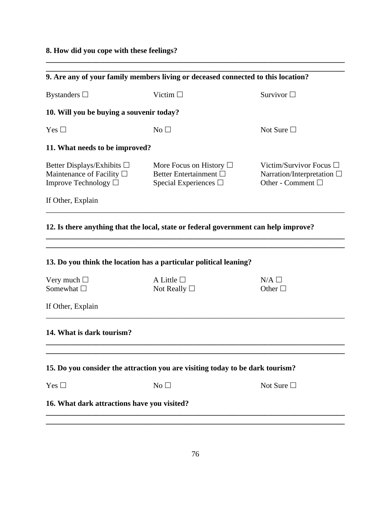### **8. How did you cope with these feelings?**

|                                                                                                   | 9. Are any of your family members living or deceased connected to this location?                |                                                                                         |
|---------------------------------------------------------------------------------------------------|-------------------------------------------------------------------------------------------------|-----------------------------------------------------------------------------------------|
| Bystanders $\Box$                                                                                 | Victim $\Box$                                                                                   | Survivor $\Box$                                                                         |
| 10. Will you be buying a souvenir today?                                                          |                                                                                                 |                                                                                         |
| Yes $\Box$                                                                                        | No <sub>1</sub>                                                                                 | Not Sure $\Box$                                                                         |
| 11. What needs to be improved?                                                                    |                                                                                                 |                                                                                         |
| Better Displays/Exhibits $\Box$<br>Maintenance of Facility $\square$<br>Improve Technology $\Box$ | More Focus on History $\Box$<br>Better Entertainment $\square$<br>Special Experiences $\square$ | Victim/Survivor Focus $\Box$<br>Narration/Interpretation $\square$<br>Other - Comment □ |
| If Other, Explain                                                                                 |                                                                                                 |                                                                                         |
|                                                                                                   | 12. Is there anything that the local, state or federal government can help improve?             |                                                                                         |
|                                                                                                   | 13. Do you think the location has a particular political leaning?                               |                                                                                         |
| Very much $\Box$<br>Somewhat $\Box$                                                               | A Little $\Box$<br>Not Really $\Box$                                                            | $N/A$ $\square$<br>Other $\square$                                                      |
| If Other, Explain                                                                                 |                                                                                                 |                                                                                         |
| 14. What is dark tourism?                                                                         |                                                                                                 |                                                                                         |
|                                                                                                   |                                                                                                 |                                                                                         |
|                                                                                                   | 15. Do you consider the attraction you are visiting today to be dark tourism?                   |                                                                                         |
| Yes $\square$                                                                                     | No                                                                                              | Not Sure $\Box$                                                                         |
| 16. What dark attractions have you visited?                                                       |                                                                                                 |                                                                                         |
|                                                                                                   |                                                                                                 |                                                                                         |

**\_\_\_\_\_\_\_\_\_\_\_\_\_\_\_\_\_\_\_\_\_\_\_\_\_\_\_\_\_\_\_\_\_\_\_\_\_\_\_\_\_\_\_\_\_\_\_\_\_\_\_\_\_\_\_\_\_\_\_\_\_\_\_\_\_\_\_\_\_\_\_\_\_\_\_\_\_\_**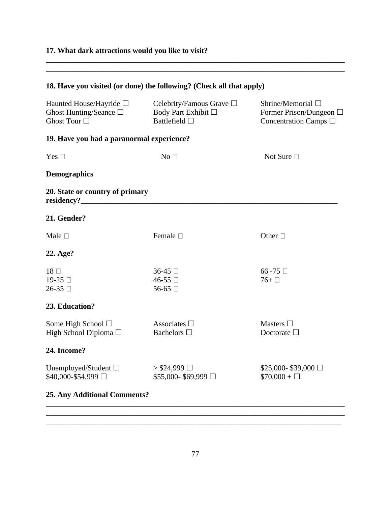## **17. What dark attractions would you like to visit?**

| 18. Have you visited (or done) the following? (Check all that apply)           |                                                                       |                                                                               |
|--------------------------------------------------------------------------------|-----------------------------------------------------------------------|-------------------------------------------------------------------------------|
| Haunted House/Hayride □<br>Ghost Hunting/Seance $\square$<br>Ghost Tour $\Box$ | Celebrity/Famous Grave □<br>Body Part Exhibit □<br>Battlefield $\Box$ | Shrine/Memorial $\square$<br>Former Prison/Dungeon □<br>Concentration Camps □ |
| 19. Have you had a paranormal experience?                                      |                                                                       |                                                                               |
| Yes $\square$                                                                  | No $\Box$                                                             | Not Sure □                                                                    |
| <b>Demographics</b>                                                            |                                                                       |                                                                               |
| 20. State or country of primary<br>residency?_                                 |                                                                       |                                                                               |
| 21. Gender?                                                                    |                                                                       |                                                                               |
| Male $\square$                                                                 | Female $\square$                                                      | Other $\Box$                                                                  |
| 22. Age?                                                                       |                                                                       |                                                                               |
| $18 \Box$<br>19-25 □<br>$26-35$                                                | $36-45$<br>46-55 □<br>56-65 □                                         | 66 -75 $\Box$<br>$76+$                                                        |
| 23. Education?                                                                 |                                                                       |                                                                               |
| Some High School $\square$<br>High School Diploma □                            | Associates $\Box$<br>Bachelors $\Box$                                 | Masters $\Box$<br>Doctorate $\Box$                                            |
| 24. Income?                                                                    |                                                                       |                                                                               |
| Unemployed/Student □<br>\$40,000-\$54,999 □                                    | > $$24,999$ □<br>$$55,000-$69,999 \square$                            | $$25,000 - $39,000$<br>$$70,000 + \square$                                    |
| <b>25. Any Additional Comments?</b>                                            |                                                                       |                                                                               |

**\_\_\_\_\_\_\_\_\_\_\_\_\_\_\_\_\_\_\_\_\_\_\_\_\_\_\_\_\_\_\_\_\_\_\_\_\_\_\_\_\_\_\_\_\_\_\_\_\_\_\_\_\_\_\_\_\_\_\_\_\_\_\_\_\_\_\_\_\_\_\_\_\_\_\_\_\_\_ \_\_\_\_\_\_\_\_\_\_\_\_\_\_\_\_\_\_\_\_\_\_\_\_\_\_\_\_\_\_\_\_\_\_\_\_\_\_\_\_\_\_\_\_\_\_\_\_\_\_\_\_\_\_\_\_\_\_\_\_\_\_\_\_\_\_\_\_\_\_\_\_\_\_\_\_\_\_**

\_\_\_\_\_\_\_\_\_\_\_\_\_\_\_\_\_\_\_\_\_\_\_\_\_\_\_\_\_\_\_\_\_\_\_\_\_\_\_\_\_\_\_\_\_\_\_\_\_\_\_\_\_\_\_\_\_\_\_\_\_\_\_\_\_\_\_\_\_\_\_\_\_\_\_\_\_\_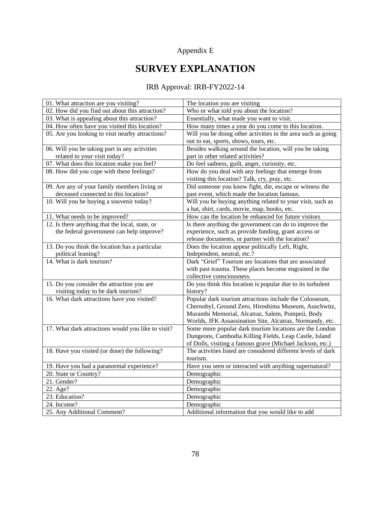## Appendix E

# **SURVEY EXPLANATION**

### IRB Approval: IRB-FY2022-14

| 01. What attraction are you visiting?              | The location you are visiting                                 |
|----------------------------------------------------|---------------------------------------------------------------|
| 02. How did you find out about this attraction?    | Who or what told you about the location?                      |
| 03. What is appealing about this attraction?       | Essentially, what made you want to visit.                     |
| 04. How often have you visited this location?      | How many times a year do you come to this location.           |
| 05. Are you looking to visit nearby attractions?   | Will you be doing other activities in the area such as going  |
|                                                    | out to eat, sports, shows, tours, etc.                        |
| 06. Will you be taking part in any activities      | Besides walking around the location, will you be taking       |
| related to your visit today?                       | part in other related activities?                             |
| 07. What does this location make you feel?         | Do feel sadness, guilt, anger, curiosity, etc.                |
| 08. How did you cope with these feelings?          | How do you deal with any feelings that emerge from            |
|                                                    | visiting this location? Talk, cry, pray, etc.                 |
| 09. Are any of your family members living or       | Did someone you know fight, die, escape or witness the        |
| deceased connected to this location?               | past event, which made the location famous.                   |
| 10. Will you be buying a souvenir today?           | Will you be buying anything related to your visit, such as    |
|                                                    | a hat, shirt, cards, movie, map, books, etc.                  |
| 11. What needs to be improved?                     | How can the location be enhanced for future visitors          |
| 12. Is there anything that the local, state, or    | Is there anything the government can do to improve the        |
| the federal government can help improve?           | experience, such as provide funding, grant access or          |
|                                                    | release documents, or partner with the location?              |
| 13. Do you think the location has a particular     | Does the location appear politically Left, Right,             |
| political leaning?                                 | Independent, neutral, etc.?                                   |
| 14. What is dark tourism?                          | Dark "Grief" Tourism are locations that are associated        |
|                                                    | with past trauma. These places become engrained in the        |
|                                                    | collective consciousness.                                     |
| 15. Do you consider the attraction you are         | Do you think this location is popular due to its turbulent    |
| visiting today to be dark tourism?                 | history?                                                      |
| 16. What dark attractions have you visited?        | Popular dark tourism attractions include the Colosseum,       |
|                                                    | Chernobyl, Ground Zero, Hiroshima Museum, Auschwitz,          |
|                                                    | Murambi Memorial, Alcatraz, Salem, Pompeii, Body              |
|                                                    | Worlds, JFK Assassination Site, Alcatraz, Normandy, etc.      |
| 17. What dark attractions would you like to visit? | Some more popular dark tourism locations are the London       |
|                                                    | Dungeons, Cambodia Killing Fields, Leap Castle, Island        |
|                                                    | of Dolls, visiting a famous grave (Michael Jackson, etc.)     |
| 18. Have you visited (or done) the following?      | The activities listed are considered different levels of dark |
|                                                    | tourism.                                                      |
| 19. Have you had a paranormal experience?          | Have you seen or interacted with anything supernatural?       |
| 20. State or Country?                              | Demographic                                                   |
| 21. Gender?                                        | Demographic                                                   |
| 22. Age?                                           | Demographic                                                   |
| 23. Education?                                     | Demographic                                                   |
| 24. Income?                                        | Demographic                                                   |
| 25. Any Additional Comment?                        | Additional information that you would like to add             |